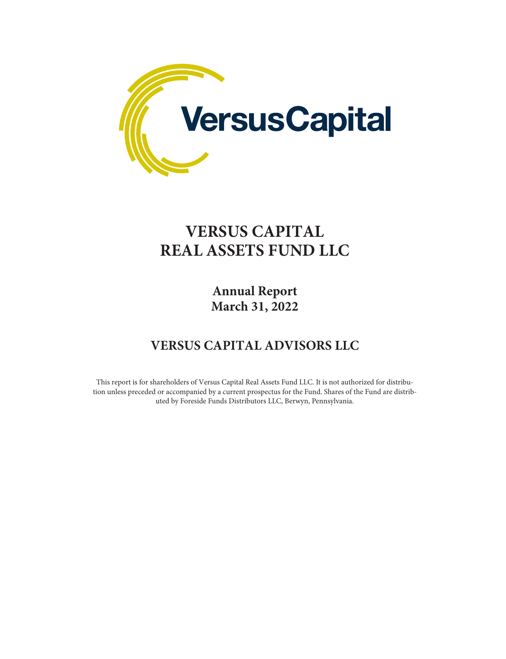

## **VERSUS CAPITAL REAL ASSETS FUND LLC**

**Annual Report March 31, 2022**

## **VERSUS CAPITAL ADVISORS LLC**

This report is for shareholders of Versus Capital Real Assets Fund LLC. It is not authorized for distribution unless preceded or accompanied by a current prospectus for the Fund. Shares of the Fund are distributed by Foreside Funds Distributors LLC, Berwyn, Pennsylvania.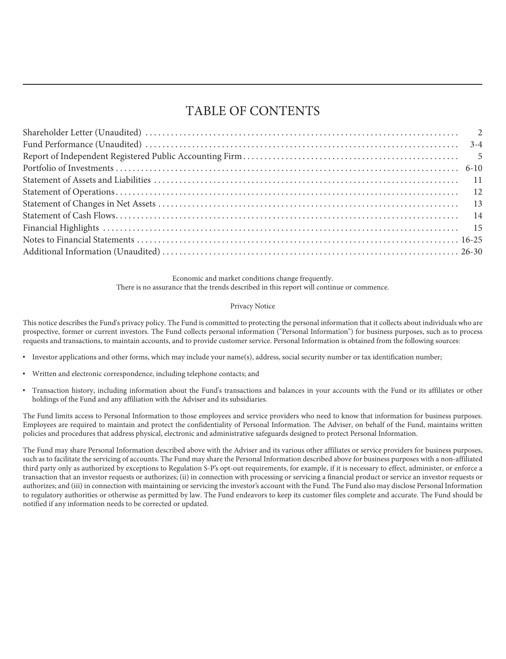## TABLE OF CONTENTS

Economic and market conditions change frequently. There is no assurance that the trends described in this report will continue or commence.

#### Privacy Notice

This notice describes the Fund's privacy policy. The Fund is committed to protecting the personal information that it collects about individuals who are prospective, former or current investors. The Fund collects personal information ("Personal Information") for business purposes, such as to process requests and transactions, to maintain accounts, and to provide customer service. Personal Information is obtained from the following sources:

- Investor applications and other forms, which may include your name(s), address, social security number or tax identification number;
- Written and electronic correspondence, including telephone contacts; and
- Transaction history, including information about the Fund's transactions and balances in your accounts with the Fund or its affiliates or other holdings of the Fund and any affiliation with the Adviser and its subsidiaries.

The Fund limits access to Personal Information to those employees and service providers who need to know that information for business purposes. Employees are required to maintain and protect the confidentiality of Personal Information. The Adviser, on behalf of the Fund, maintains written policies and procedures that address physical, electronic and administrative safeguards designed to protect Personal Information.

The Fund may share Personal Information described above with the Adviser and its various other affiliates or service providers for business purposes, such as to facilitate the servicing of accounts. The Fund may share the Personal Information described above for business purposes with a non-affiliated third party only as authorized by exceptions to Regulation S-P's opt-out requirements, for example, if it is necessary to effect, administer, or enforce a transaction that an investor requests or authorizes; (ii) in connection with processing or servicing a financial product or service an investor requests or authorizes; and (iii) in connection with maintaining or servicing the investor's account with the Fund. The Fund also may disclose Personal Information to regulatory authorities or otherwise as permitted by law. The Fund endeavors to keep its customer files complete and accurate. The Fund should be notified if any information needs to be corrected or updated.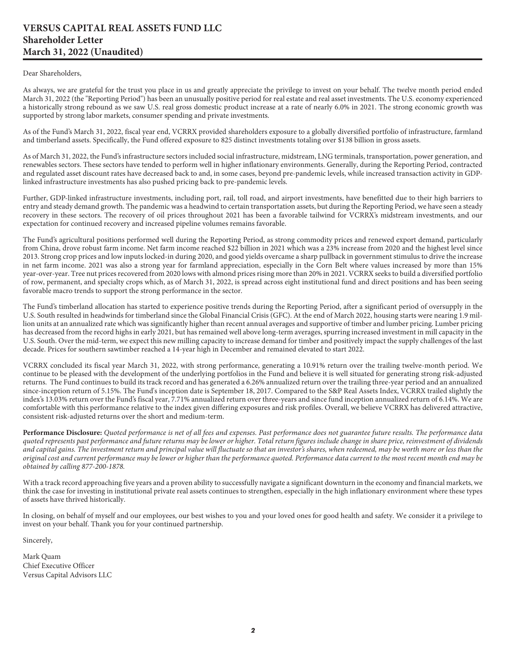#### <span id="page-2-0"></span>**VERSUS CAPITAL REAL ASSETS FUND LLC Shareholder Letter March 31, 2022 (Unaudited)**

#### Dear Shareholders,

As always, we are grateful for the trust you place in us and greatly appreciate the privilege to invest on your behalf. The twelve month period ended March 31, 2022 (the "Reporting Period") has been an unusually positive period for real estate and real asset investments. The U.S. economy experienced a historically strong rebound as we saw U.S. real gross domestic product increase at a rate of nearly 6.0% in 2021. The strong economic growth was supported by strong labor markets, consumer spending and private investments.

As of the Fund's March 31, 2022, fiscal year end, VCRRX provided shareholders exposure to a globally diversified portfolio of infrastructure, farmland and timberland assets. Specifically, the Fund offered exposure to 825 distinct investments totaling over \$138 billion in gross assets.

As of March 31, 2022, the Fund's infrastructure sectors included social infrastructure, midstream, LNG terminals, transportation, power generation, and renewables sectors. These sectors have tended to perform well in higher inflationary environments. Generally, during the Reporting Period, contracted and regulated asset discount rates have decreased back to and, in some cases, beyond pre-pandemic levels, while increased transaction activity in GDPlinked infrastructure investments has also pushed pricing back to pre-pandemic levels.

Further, GDP-linked infrastructure investments, including port, rail, toll road, and airport investments, have benefitted due to their high barriers to entry and steady demand growth. The pandemic was a headwind to certain transportation assets, but during the Reporting Period, we have seen a steady recovery in these sectors. The recovery of oil prices throughout 2021 has been a favorable tailwind for VCRRX's midstream investments, and our expectation for continued recovery and increased pipeline volumes remains favorable.

The Fund's agricultural positions performed well during the Reporting Period, as strong commodity prices and renewed export demand, particularly from China, drove robust farm income. Net farm income reached \$22 billion in 2021 which was a 23% increase from 2020 and the highest level since 2013. Strong crop prices and low inputs locked-in during 2020, and good yields overcame a sharp pullback in government stimulus to drive the increase in net farm income. 2021 was also a strong year for farmland appreciation, especially in the Corn Belt where values increased by more than 15% year-over-year. Tree nut prices recovered from 2020 lows with almond prices rising more than 20% in 2021. VCRRX seeks to build a diversified portfolio of row, permanent, and specialty crops which, as of March 31, 2022, is spread across eight institutional fund and direct positions and has been seeing favorable macro trends to support the strong performance in the sector.

The Fund's timberland allocation has started to experience positive trends during the Reporting Period, after a significant period of oversupply in the U.S. South resulted in headwinds for timberland since the Global Financial Crisis (GFC). At the end of March 2022, housing starts were nearing 1.9 million units at an annualized rate which was significantly higher than recent annual averages and supportive of timber and lumber pricing. Lumber pricing has decreased from the record highs in early 2021, but has remained well above long-term averages, spurring increased investment in mill capacity in the U.S. South. Over the mid-term, we expect this new milling capacity to increase demand for timber and positively impact the supply challenges of the last decade. Prices for southern sawtimber reached a 14-year high in December and remained elevated to start 2022.

VCRRX concluded its fiscal year March 31, 2022, with strong performance, generating a 10.91% return over the trailing twelve-month period. We continue to be pleased with the development of the underlying portfolios in the Fund and believe it is well situated for generating strong risk-adjusted returns. The Fund continues to build its track record and has generated a 6.26% annualized return over the trailing three-year period and an annualized since-inception return of 5.15%. The Fund's inception date is September 18, 2017. Compared to the S&P Real Assets Index, VCRRX trailed slightly the index's 13.03% return over the Fund's fiscal year, 7.71% annualized return over three-years and since fund inception annualized return of 6.14%. We are comfortable with this performance relative to the index given differing exposures and risk profiles. Overall, we believe VCRRX has delivered attractive, consistent risk-adjusted returns over the short and medium-term.

**Performance Disclosure:** *Quoted performance is net of all fees and expenses. Past performance does not guarantee future results. The performance data quoted represents past performance and future returns may be lower or higher. Total return figures include change in share price, reinvestment of dividends and capital gains. The investment return and principal value will fluctuate so that an investor's shares, when redeemed, may be worth more or less than the original cost and current performance may be lower or higher than the performance quoted. Performance data current to the most recent month end may be obtained by calling 877-200-1878.*

With a track record approaching five years and a proven ability to successfully navigate a significant downturn in the economy and financial markets, we think the case for investing in institutional private real assets continues to strengthen, especially in the high inflationary environment where these types of assets have thrived historically.

In closing, on behalf of myself and our employees, our best wishes to you and your loved ones for good health and safety. We consider it a privilege to invest on your behalf. Thank you for your continued partnership.

Sincerely,

Mark Quam Chief Executive Officer Versus Capital Advisors LLC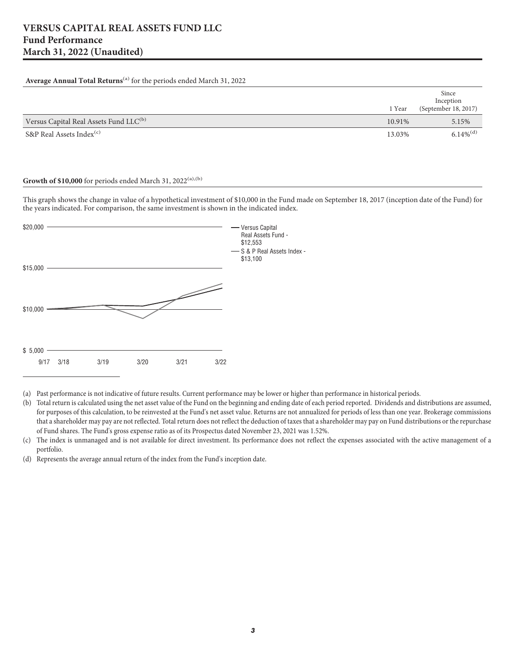#### <span id="page-3-0"></span>**Average Annual Total Returns**(a) for the periods ended March 31, 2022

|                                                    | 1 Year | Since<br>Inception<br>(September 18, 2017) |
|----------------------------------------------------|--------|--------------------------------------------|
| Versus Capital Real Assets Fund LLC <sup>(b)</sup> | 10.91% | 5.15%                                      |
| S&P Real Assets Index <sup>(c)</sup>               | 13.03% | $6.14\%$ <sup>(d)</sup>                    |

#### **Growth of \$10,000** for periods ended March 31, 2022 $(a)$ ,  $(b)$

This graph shows the change in value of a hypothetical investment of \$10,000 in the Fund made on September 18, 2017 (inception date of the Fund) for the years indicated. For comparison, the same investment is shown in the indicated index.



(a) Past performance is not indicative of future results. Current performance may be lower or higher than performance in historical periods.

(b) Total return is calculated using the net asset value of the Fund on the beginning and ending date of each period reported. Dividends and distributions are assumed, for purposes of this calculation, to be reinvested at the Fund's net asset value. Returns are not annualized for periods of less than one year. Brokerage commissions that a shareholder may pay are not reflected. Total return does not reflect the deduction of taxes that a shareholder may pay on Fund distributions or the repurchase of Fund shares. The Fund's gross expense ratio as of its Prospectus dated November 23, 2021 was 1.52%.

(c) The index is unmanaged and is not available for direct investment. Its performance does not reflect the expenses associated with the active management of a portfolio.

(d) Represents the average annual return of the index from the Fund's inception date.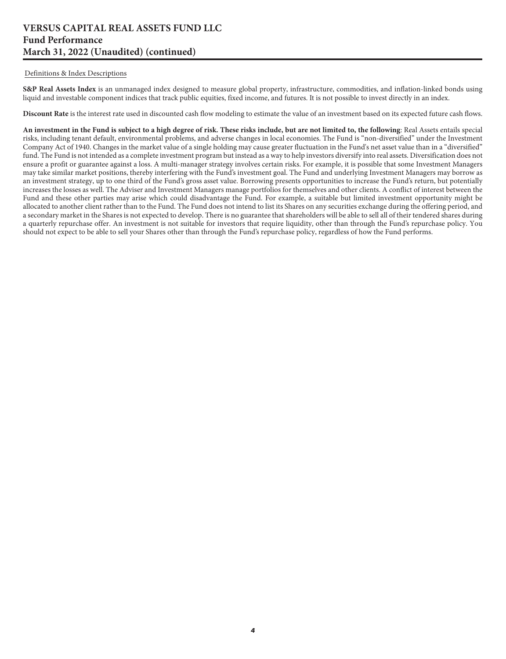#### **VERSUS CAPITAL REAL ASSETS FUND LLC Fund Performance March 31, 2022 (Unaudited) (continued)**

#### Definitions & Index Descriptions

**S&P Real Assets Index** is an unmanaged index designed to measure global property, infrastructure, commodities, and inflation-linked bonds using liquid and investable component indices that track public equities, fixed income, and futures. It is not possible to invest directly in an index.

**Discount Rate** is the interest rate used in discounted cash flow modeling to estimate the value of an investment based on its expected future cash flows.

**An investment in the Fund is subject to a high degree of risk. These risks include, but are not limited to, the following**: Real Assets entails special risks, including tenant default, environmental problems, and adverse changes in local economies. The Fund is "non-diversified" under the Investment Company Act of 1940. Changes in the market value of a single holding may cause greater fluctuation in the Fund's net asset value than in a "diversified" fund. The Fund is not intended as a complete investment program but instead as a way to help investors diversify into real assets. Diversification does not ensure a profit or guarantee against a loss. A multi-manager strategy involves certain risks. For example, it is possible that some Investment Managers may take similar market positions, thereby interfering with the Fund's investment goal. The Fund and underlying Investment Managers may borrow as an investment strategy, up to one third of the Fund's gross asset value. Borrowing presents opportunities to increase the Fund's return, but potentially increases the losses as well. The Adviser and Investment Managers manage portfolios for themselves and other clients. A conflict of interest between the Fund and these other parties may arise which could disadvantage the Fund. For example, a suitable but limited investment opportunity might be allocated to another client rather than to the Fund. The Fund does not intend to list its Shares on any securities exchange during the offering period, and a secondary market in the Shares is not expected to develop. There is no guarantee that shareholders will be able to sell all of their tendered shares during a quarterly repurchase offer. An investment is not suitable for investors that require liquidity, other than through the Fund's repurchase policy. You should not expect to be able to sell your Shares other than through the Fund's repurchase policy, regardless of how the Fund performs.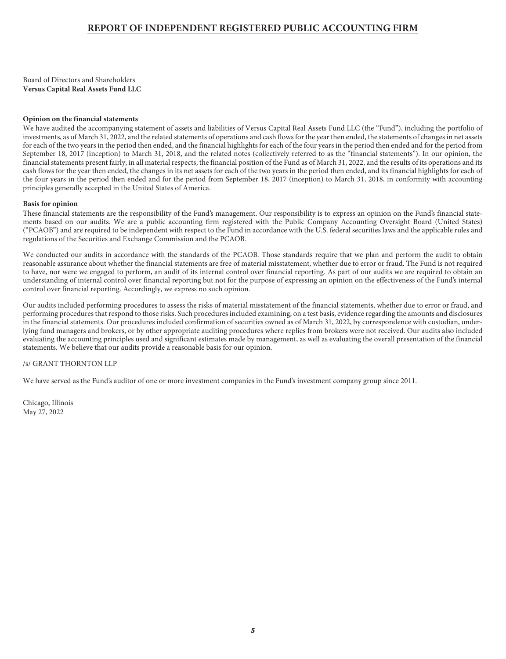#### **REPORT OF INDEPENDENT REGISTERED PUBLIC ACCOUNTING FIRM**

<span id="page-5-0"></span>Board of Directors and Shareholders **Versus Capital Real Assets Fund LLC**

#### **Opinion on the financial statements**

We have audited the accompanying statement of assets and liabilities of Versus Capital Real Assets Fund LLC (the "Fund"), including the portfolio of investments, as of March 31, 2022, and the related statements of operations and cash flows for the year then ended, the statements of changes in net assets for each of the two years in the period then ended, and the financial highlights for each of the four years in the period then ended and for the period from September 18, 2017 (inception) to March 31, 2018, and the related notes (collectively referred to as the "financial statements"). In our opinion, the financial statements present fairly, in all material respects, the financial position of the Fund as of March 31, 2022, and the results of its operations and its cash flows for the year then ended, the changes in its net assets for each of the two years in the period then ended, and its financial highlights for each of the four years in the period then ended and for the period from September 18, 2017 (inception) to March 31, 2018, in conformity with accounting principles generally accepted in the United States of America.

#### **Basis for opinion**

These financial statements are the responsibility of the Fund's management. Our responsibility is to express an opinion on the Fund's financial statements based on our audits. We are a public accounting firm registered with the Public Company Accounting Oversight Board (United States) ("PCAOB") and are required to be independent with respect to the Fund in accordance with the U.S. federal securities laws and the applicable rules and regulations of the Securities and Exchange Commission and the PCAOB.

We conducted our audits in accordance with the standards of the PCAOB. Those standards require that we plan and perform the audit to obtain reasonable assurance about whether the financial statements are free of material misstatement, whether due to error or fraud. The Fund is not required to have, nor were we engaged to perform, an audit of its internal control over financial reporting. As part of our audits we are required to obtain an understanding of internal control over financial reporting but not for the purpose of expressing an opinion on the effectiveness of the Fund's internal control over financial reporting. Accordingly, we express no such opinion.

Our audits included performing procedures to assess the risks of material misstatement of the financial statements, whether due to error or fraud, and performing procedures that respond to those risks. Such procedures included examining, on a test basis, evidence regarding the amounts and disclosures in the financial statements. Our procedures included confirmation of securities owned as of March 31, 2022, by correspondence with custodian, underlying fund managers and brokers, or by other appropriate auditing procedures where replies from brokers were not received. Our audits also included evaluating the accounting principles used and significant estimates made by management, as well as evaluating the overall presentation of the financial statements. We believe that our audits provide a reasonable basis for our opinion.

#### /s/ GRANT THORNTON LLP

We have served as the Fund's auditor of one or more investment companies in the Fund's investment company group since 2011.

Chicago, Illinois May 27, 2022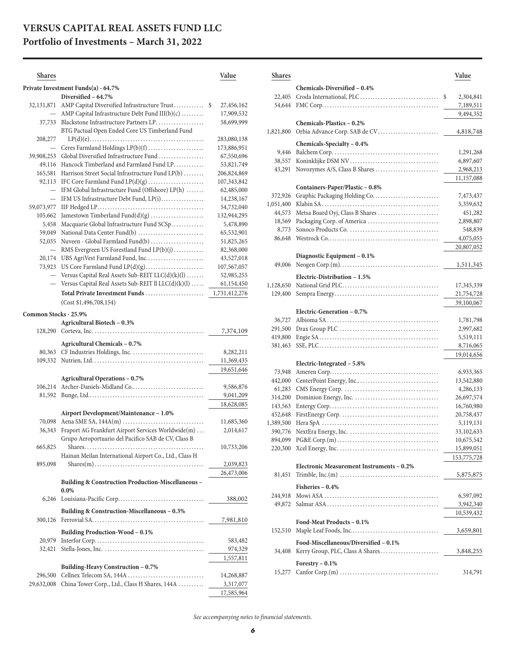### <span id="page-6-0"></span>**VERSUS CAPITAL REAL ASSETS FUND LLC**

## **Portfolio of Investments – March 31, 2022**

| <b>Shares</b>         |                                                                                                | Value                          |
|-----------------------|------------------------------------------------------------------------------------------------|--------------------------------|
|                       | Private Investment Funds(a) - 64.7%                                                            |                                |
|                       | Diversified - 64.7%                                                                            |                                |
| 32,131,871            | AMP Capital Diversified Infrastructure Trust<br>AMP Capital Infrastructure Debt Fund III(b)(c) | 27,456,162<br>\$<br>17,909,532 |
| 37,733                | Blackstone Infrastructure Partners LP                                                          | 58,699,999                     |
|                       | BTG Pactual Open Ended Core US Timberland Fund                                                 |                                |
| 208,277               |                                                                                                | 283,080,138                    |
|                       | Ceres Farmland Holdings LP(b)(f)                                                               | 173,886,951                    |
| 39,908,253            | Global Diversified Infrastructure Fund                                                         | 67,550,696                     |
| 49,116                | Hancock Timberland and Farmland Fund LP                                                        | 53,821,749                     |
| 165,581               | Harrison Street Social Infrastructure Fund LP(b)                                               | 206,824,869                    |
| 92,113                |                                                                                                | 107,343,842                    |
|                       | IFM Global Infrastructure Fund (Offshore) LP(h)                                                | 62,485,000                     |
|                       | IFM US Infrastructure Debt Fund, LP(i)                                                         | 14,238,167                     |
| 59,073,977            |                                                                                                | 54,732,040                     |
| 105,662               | Jamestown Timberland Fund(d)(g)                                                                | 132,944,295                    |
| 5,458                 | Macquarie Global Infrastructure Fund SCSp                                                      | 5,478,890                      |
| 59,049                | National Data Center Fund(b)                                                                   | 65,532,901                     |
| 52,035                | Nuveen - Global Farmland Fund(b)                                                               | 51,825,265                     |
| $\equiv$              | RMS Evergreen US Forestland Fund LP(b)(j)                                                      | 82,368,000                     |
| 20,174                | UBS AgriVest Farmland Fund, Inc                                                                | 43,527,018                     |
| 73,923                | US Core Farmland Fund LP(d)(g)                                                                 | 107,567,057                    |
|                       | Versus Capital Real Assets Sub-REIT LLC(d)(k)(l)                                               | 52,985,255                     |
|                       | Versus Capital Real Assets Sub-REIT ll LLC(d)(k)(l)                                            | 61,154,450                     |
|                       | Total Private Investment Funds                                                                 | 1,731,412,276                  |
|                       | (Cost \$1,496,708,154)                                                                         |                                |
| Common Stocks - 25.9% |                                                                                                |                                |
|                       | Agricultural Biotech - 0.3%                                                                    |                                |
|                       |                                                                                                | 7,374,109                      |
|                       | Agricultural Chemicals - 0.7%                                                                  |                                |
|                       |                                                                                                | 8,282,211                      |
|                       |                                                                                                | 11,369,435                     |
|                       |                                                                                                | 19,651,646                     |
|                       | <b>Agricultural Operations - 0.7%</b>                                                          |                                |
| 106,214               | Archer-Daniels-Midland Co                                                                      | 9,586,876                      |
| 81,592                |                                                                                                | 9,041,209                      |
|                       |                                                                                                | 18,628,085                     |
|                       | Airport Development/Maintenance - 1.0%                                                         |                                |
| 70,098                | Aena SME SA, 144A(m)                                                                           | 11,685,360                     |
| 36,343                | Fraport AG Frankfurt Airport Services Worldwide(m)                                             | 2,014,617                      |
|                       | Grupo Aeroportuario del Pacifico SAB de CV, Class B                                            |                                |
| 665,825               | $Shares. \ldots \ldots \ldots \ldots$                                                          | 10,733,206                     |
|                       | Hainan Meilan International Airport Co., Ltd., Class H                                         |                                |
| 895,098               |                                                                                                | 2,039,823                      |
|                       |                                                                                                | 26,473,006                     |
|                       | <b>Building &amp; Construction Production-Miscellaneous -</b>                                  |                                |
|                       | $0.0\%$                                                                                        |                                |
| 6,246                 |                                                                                                | 388,002                        |
|                       | Building & Construction-Miscellaneous - 0.3%                                                   |                                |
| 300,126               |                                                                                                | 7,981,810                      |
|                       | <b>Building Production-Wood - 0.1%</b>                                                         |                                |
| 20,979                |                                                                                                | 583,482                        |
| 32,421                |                                                                                                | 974,329                        |
|                       |                                                                                                | 1,557,811                      |
|                       | <b>Building-Heavy Construction - 0.7%</b>                                                      |                                |
| 296,500               | Cellnex Telecom SA, 144A                                                                       | 14,268,887                     |
| 29,632,008            | China Tower Corp., Ltd., Class H Shares, 144A                                                  | 3,317,077                      |
|                       |                                                                                                | 17,585,964                     |
|                       |                                                                                                |                                |

| <b>Shares</b>      |                                           | Value                   |
|--------------------|-------------------------------------------|-------------------------|
|                    | Chemicals-Diversified - 0.4%              |                         |
| 22,405             | Croda International, PLC                  | \$<br>2,304,841         |
| 54,644             |                                           | 7,189,511               |
|                    |                                           | 9,494,352               |
|                    | Chemicals-Plastics - 0.2%                 |                         |
| 1,821,800          | Orbia Advance Corp. SAB de CV             | 4,818,748               |
|                    | Chemicals-Specialty – 0.4%                |                         |
| 9,446              |                                           | 1,291,268               |
| 38,557             |                                           | 6,897,607               |
| 43,291             |                                           | 2,968,213               |
|                    |                                           | 11,157,088              |
|                    | Containers-Paper/Plastic - 0.8%           |                         |
| 372,926            | Graphic Packaging Holding Co              | 7,473,437               |
| 1,051,400          |                                           | 5,359,632               |
| 44,573             | Metsa Board Oyj, Class B Shares           | 451,282                 |
| 18,569             |                                           | 2,898,807               |
| 8,773              |                                           | 548,839                 |
| 86,648             |                                           | 4,075,055               |
|                    |                                           | 20,807,052              |
|                    | Diagnostic Equipment - 0.1%               |                         |
| 49,006             |                                           | 1,511,345               |
|                    | Electric-Distribution - 1.5%              |                         |
| 1,128,650          |                                           | 17,345,339              |
| 129,400            |                                           | 21,754,728              |
|                    |                                           | 39,100,067              |
|                    | Electric-Generation - 0.7%                |                         |
| 36,727             |                                           | 1,781,798               |
| 291,500            |                                           | 2,997,682               |
| 419,800<br>381,463 |                                           | 5,519,111               |
|                    |                                           | 8,716,065<br>19,014,656 |
|                    | Electric-Integrated - 5.8%                |                         |
| 73,948             |                                           | 6,933,365               |
| 442,000            |                                           | 13,542,880              |
| 61,283             |                                           | 4,286,133               |
| 314,200            |                                           | 26,697,574              |
| 143,563            |                                           | 16,760,980              |
| 452,648            |                                           | 20,758,437              |
| 1,389,500          |                                           | 5,119,131               |
| 390,776            |                                           | 33,102,635              |
| 894,099            |                                           | 10,675,542              |
| 220,300            |                                           | 15,899,051              |
|                    |                                           | 153,775,728             |
|                    | Electronic Measurement Instruments - 0.2% |                         |
| 81,451             |                                           | 5,875,875               |
|                    | Fisheries $-0.4%$                         |                         |
| 244,918            |                                           | 6,597,092               |
|                    |                                           | 3,942,340               |
|                    |                                           | 10,539,432              |
|                    | Food-Meat Products - 0.1%                 |                         |
| 152,510            |                                           | 3,659,801               |
|                    | Food-Miscellaneous/Diversified - 0.1%     |                         |
| 34,408             |                                           |                         |
|                    | Forestry $-0.1\%$                         |                         |
|                    |                                           | 314,791                 |
|                    |                                           |                         |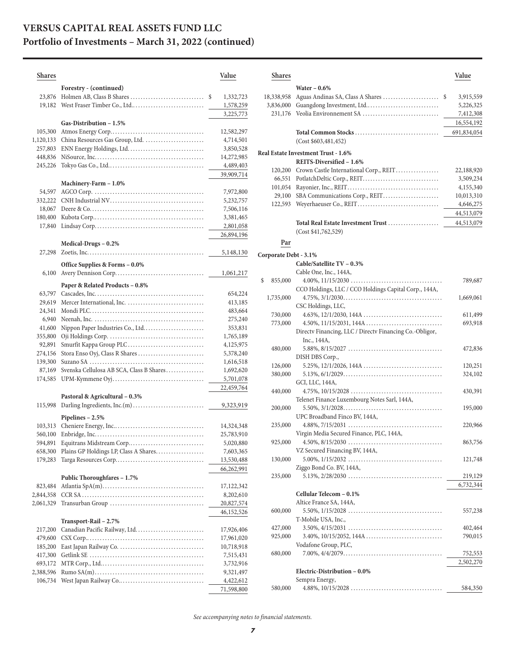| Shares    |                                                                | Value           |
|-----------|----------------------------------------------------------------|-----------------|
|           | Forestry - (continued)                                         |                 |
| 23,876    |                                                                | \$<br>1,332,723 |
| 19,182    | West Fraser Timber Co., Ltd                                    | 1,578,259       |
|           |                                                                | 3,225,773       |
|           | Gas-Distribution - 1.5%                                        |                 |
| 105,300   |                                                                | 12,582,297      |
| 1,120,133 | China Resources Gas Group, Ltd.                                | 4,714,501       |
| 257,803   |                                                                | 3,850,528       |
| 448,836   |                                                                | 14,272,985      |
| 245,226   |                                                                | 4,489,403       |
|           |                                                                | 39,909,714      |
|           | Machinery-Farm - 1.0%                                          |                 |
| 54,597    |                                                                | 7,972,800       |
| 332,222   |                                                                | 5,232,757       |
| 18,067    |                                                                | 7,506,116       |
| 180,400   |                                                                | 3,381,465       |
| 17,840    |                                                                | 2,801,058       |
|           |                                                                | 26,894,196      |
|           | Medical-Drugs - 0.2%                                           |                 |
| 27,298    |                                                                | 5,148,130       |
|           | Office Supplies & Forms - 0.0%                                 |                 |
| 6,100     |                                                                | 1,061,217       |
|           | Paper & Related Products - 0.8%                                |                 |
| 63,797    |                                                                | 654,224         |
| 29,619    | Mercer International, Inc.                                     | 413,185         |
| 24,341    |                                                                | 483,664         |
| 6,940     |                                                                | 275,240         |
| 41,600    | Nippon Paper Industries Co., Ltd                               | 353,831         |
| 355,800   |                                                                | 1,765,189       |
| 92,891    | Smurfit Kappa Group PLC                                        | 4,125,975       |
| 274,156   | Stora Enso Oyj, Class R Shares                                 | 5,378,240       |
| 139,300   |                                                                | 1,616,518       |
| 87,169    | Svenska Cellulosa AB SCA, Class B Shares                       | 1,692,620       |
| 174,585   |                                                                | 5,701,078       |
|           |                                                                | 22,459,764      |
|           | Pastoral & Agricultural - 0.3%<br>Darling Ingredients, Inc.(m) |                 |
| 115,998   |                                                                | 9,323,919       |
|           | Pipelines - 2.5%                                               |                 |
| 103,313   |                                                                | 14,324,348      |
| 560,100   |                                                                | 25,783,910      |
| 594,891   | Equitrans Midstream Corp                                       | 5,020,880       |
|           | 658,300 Plains GP Holdings LP, Class A Shares                  | 7,603,365       |
|           |                                                                | 13,530,488      |
|           | Public Thoroughfares - 1.7%                                    | 66,262,991      |
| 823,484   |                                                                | 17,122,342      |
| 2,844,358 |                                                                | 8,202,610       |
| 2,061,329 |                                                                | 20,827,574      |
|           |                                                                | 46,152,526      |
|           | Transport-Rail - 2.7%                                          |                 |
| 217,200   |                                                                | 17,926,406      |
| 479,600   |                                                                | 17,961,020      |
| 185,200   |                                                                | 10,718,918      |
| 417,300   |                                                                | 7,515,431       |
| 693,172   |                                                                | 3,732,916       |
| 2,388,596 |                                                                | 9,321,497       |
| 106,734   |                                                                | 4,422,612       |
|           |                                                                | 71,598,800      |

| <b>Shares</b>         |                                                                                                                                   | Value                   |
|-----------------------|-----------------------------------------------------------------------------------------------------------------------------------|-------------------------|
|                       | Water $-0.6\%$                                                                                                                    |                         |
| 18,338,958            | \$                                                                                                                                | 3,915,559               |
| 3,836,000             | Guangdong Investment, Ltd                                                                                                         | 5,226,325               |
| 231,176               | Veolia Environnement SA                                                                                                           | 7,412,308               |
|                       |                                                                                                                                   | 16,554,192              |
|                       |                                                                                                                                   | 691,834,054             |
|                       | (Cost \$603,481,452)                                                                                                              |                         |
|                       |                                                                                                                                   |                         |
|                       | Real Estate Investment Trust - 1.6%                                                                                               |                         |
|                       | REITS-Diversified - 1.6%                                                                                                          |                         |
|                       | 120,200 Crown Castle International Corp., REIT                                                                                    | 22,188,920              |
|                       |                                                                                                                                   | 3,509,234               |
|                       |                                                                                                                                   | 4,155,340               |
| 122,593               | 29,100 SBA Communications Corp., REIT                                                                                             | 10,013,310              |
|                       | Weyerhaeuser Co., REIT                                                                                                            | 4,646,275<br>44,513,079 |
|                       |                                                                                                                                   |                         |
|                       | Total Real Estate Investment Trust                                                                                                | 44,513,079              |
|                       | (Cost \$41,762,529)                                                                                                               |                         |
| Par                   |                                                                                                                                   |                         |
| Corporate Debt - 3.1% |                                                                                                                                   |                         |
|                       | Cable/Satellite TV - 0.3%                                                                                                         |                         |
|                       | Cable One, Inc., 144A,                                                                                                            |                         |
| \$<br>855,000         |                                                                                                                                   | 789,687                 |
|                       | CCO Holdings, LLC / CCO Holdings Capital Corp., 144A,                                                                             |                         |
| 1,735,000             | $4.75\%, 3/1/2030 \ldots \ldots \ldots \ldots \ldots \ldots \ldots \ldots \ldots \ldots \ldots \ldots \ldots$                     | 1,669,061               |
|                       | CSC Holdings, LLC,                                                                                                                |                         |
| 730,000               |                                                                                                                                   | 611,499                 |
| 773,000               | $4.50\%, 11/15/2031, 144A \ldots$                                                                                                 | 693,918                 |
|                       | Directv Financing, LLC / Directv Financing Co.-Obligor,                                                                           |                         |
|                       | Inc., 144A,                                                                                                                       |                         |
| 480,000               |                                                                                                                                   | 472,836                 |
|                       | DISH DBS Corp.,                                                                                                                   |                         |
| 126,000               | $5.25\%, 12/1/2026, 144A \ldots$                                                                                                  | 120,251                 |
| 380,000               |                                                                                                                                   | 324,102                 |
|                       | GCI, LLC, 144A,                                                                                                                   |                         |
| 440,000               | $4.75\%, 10/15/2028 \ldots \ldots \ldots \ldots \ldots \ldots \ldots \ldots \ldots \ldots \ldots$                                 | 430,391                 |
|                       | Telenet Finance Luxembourg Notes Sarl, 144A,                                                                                      |                         |
| 200,000               |                                                                                                                                   | 195,000                 |
| 235,000               | UPC Broadband Finco BV, 144A,<br>$4.88\%, 7/15/2031 \ldots \ldots \ldots \ldots \ldots \ldots \ldots \ldots \ldots \ldots \ldots$ | 220,966                 |
|                       | Virgin Media Secured Finance, PLC, 144A,                                                                                          |                         |
| 925,000               |                                                                                                                                   | 863,756                 |
|                       | VZ Secured Financing BV, 144A,                                                                                                    |                         |
| 130,000               |                                                                                                                                   | 121,748                 |
|                       | Ziggo Bond Co. BV, 144A,                                                                                                          |                         |
| 235,000               |                                                                                                                                   | 219,129                 |
|                       |                                                                                                                                   | 6,732,344               |
|                       | Cellular Telecom - 0.1%                                                                                                           |                         |
|                       | Altice France SA, 144A,                                                                                                           |                         |
| 600,000               | $5.50\%, 1/15/2028 \ldots \ldots \ldots \ldots \ldots \ldots \ldots \ldots \ldots \ldots \ldots$                                  | 557,238                 |
|                       | T-Mobile USA, Inc.,                                                                                                               |                         |
| 427,000               |                                                                                                                                   | 402,464                 |
| 925,000               | $3.40\%, 10/15/2052, 144A \ldots$                                                                                                 | 790,015                 |
|                       | Vodafone Group, PLC,                                                                                                              |                         |
| 680,000               | $7.00\%, 4/4/2079 \dots \dots \dots \dots \dots \dots \dots \dots \dots \dots \dots \dots$                                        | 752,553                 |
|                       |                                                                                                                                   | 2,502,270               |
|                       | Electric-Distribution - 0.0%                                                                                                      |                         |
|                       | Sempra Energy,                                                                                                                    |                         |
| 580,000               |                                                                                                                                   | 584,350                 |

*See accompanying notes to financial statements.*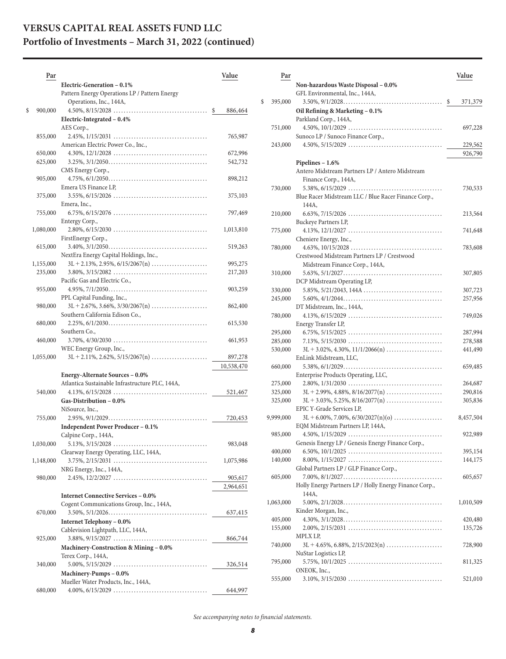| Par           |                                                                                                         | Value              |
|---------------|---------------------------------------------------------------------------------------------------------|--------------------|
|               | Electric-Generation - 0.1%                                                                              |                    |
|               | Pattern Energy Operations LP / Pattern Energy                                                           |                    |
|               | Operations, Inc., 144A,                                                                                 |                    |
| \$<br>900,000 | $4.50\%, 8/15/2028 \ldots \ldots \ldots \ldots \ldots \ldots \ldots \ldots \ldots \quad$ \$             | 886,464            |
|               | Electric-Integrated - 0.4%                                                                              |                    |
|               | AES Corp.,                                                                                              |                    |
| 855,000       |                                                                                                         | 765,987            |
| 650,000       | American Electric Power Co., Inc.,                                                                      |                    |
| 625,000       |                                                                                                         | 672,996<br>542,732 |
|               | CMS Energy Corp.,                                                                                       |                    |
| 905,000       |                                                                                                         | 898,212            |
|               | Emera US Finance LP,                                                                                    |                    |
| 375,000       | $3.55\%, 6/15/2026 \ldots \ldots \ldots \ldots \ldots \ldots \ldots \ldots \ldots \ldots \ldots \ldots$ | 375,103            |
|               | Emera, Inc.,                                                                                            |                    |
| 755,000       |                                                                                                         | 797,469            |
|               | Entergy Corp.,                                                                                          |                    |
| 1,080,000     | $2.80\%, 6/15/2030\ldots \ldots \ldots \ldots \ldots \ldots \ldots \ldots \ldots \ldots \ldots$         | 1,013,810          |
|               | FirstEnergy Corp.,                                                                                      |                    |
| 615,000       |                                                                                                         | 519,263            |
|               | NextEra Energy Capital Holdings, Inc.,                                                                  |                    |
| 1,155,000     | $3L + 2.13\%, 2.95\%, 6/15/2067(n)$                                                                     | 995,275            |
| 235,000       | $3.80\%, 3/15/2082 \ldots \ldots \ldots \ldots \ldots \ldots \ldots \ldots \ldots \ldots \ldots$        | 217,203            |
|               | Pacific Gas and Electric Co.,                                                                           |                    |
| 955,000       |                                                                                                         | 903,259            |
|               | PPL Capital Funding, Inc.,                                                                              |                    |
| 980,000       | $3L + 2.67\%, 3.66\%, 3/30/2067(n)$                                                                     | 862,400            |
|               | Southern California Edison Co.,                                                                         |                    |
| 680,000       | Southern Co.,                                                                                           | 615,530            |
| 460,000       | $3.70\%, 4/30/2030 \ldots \ldots \ldots \ldots \ldots \ldots \ldots \ldots \ldots \ldots \ldots$        | 461,953            |
|               | WEC Energy Group, Inc.,                                                                                 |                    |
| 1,055,000     | $3L + 2.11\%, 2.62\%, 5/15/2067(n)$                                                                     | 897,278            |
|               |                                                                                                         | 10,538,470         |
|               | Energy-Alternate Sources - 0.0%                                                                         |                    |
|               | Atlantica Sustainable Infrastructure PLC, 144A,                                                         |                    |
| 540,000       | $4.13\%, 6/15/2028 \ldots \ldots \ldots \ldots \ldots \ldots \ldots \ldots \ldots \ldots \ldots$        | 521,467            |
|               | Gas-Distribution - 0.0%                                                                                 |                    |
|               | NiSource, Inc.,                                                                                         |                    |
| 755,000       |                                                                                                         | 720,453            |
|               | <b>Independent Power Producer - 0.1%</b>                                                                |                    |
|               | Calpine Corp., 144A,                                                                                    |                    |
| 1,030,000     | $5.13\%, 3/15/2028 \ldots \ldots \ldots \ldots \ldots \ldots \ldots \ldots \ldots \ldots \ldots$        | 983,048            |
|               | Clearway Energy Operating, LLC, 144A,                                                                   |                    |
| 1,148,000     | $3.75\%, 2/15/2031 \ldots \ldots \ldots \ldots \ldots \ldots \ldots \ldots \ldots$                      | 1,075,986          |
|               | NRG Energy, Inc., 144A,                                                                                 |                    |
| 980,000       |                                                                                                         | 905,617            |
|               |                                                                                                         | 2,964,651          |
|               | <b>Internet Connective Services - 0.0%</b>                                                              |                    |
|               | Cogent Communications Group, Inc., 144A,                                                                |                    |
| 670,000       |                                                                                                         | 637,415            |
|               | Internet Telephony - 0.0%<br>Cablevision Lightpath, LLC, 144A,                                          |                    |
| 925,000       |                                                                                                         | 866,744            |
|               | Machinery-Construction & Mining - 0.0%                                                                  |                    |
|               | Terex Corp., 144A,                                                                                      |                    |
| 340,000       |                                                                                                         | 326,514            |
|               | Machinery-Pumps - 0.0%                                                                                  |                    |
|               | Mueller Water Products, Inc., 144A,                                                                     |                    |
| 680,000       |                                                                                                         | 644,997            |

| Par       |                                                                                                                | Value         |
|-----------|----------------------------------------------------------------------------------------------------------------|---------------|
|           | Non-hazardous Waste Disposal - 0.0%                                                                            |               |
|           | GFL Environmental, Inc., 144A,                                                                                 |               |
| 395,000   |                                                                                                                | \$<br>371,379 |
|           | Oil Refining & Marketing - 0.1%                                                                                |               |
|           | Parkland Corp., 144A,                                                                                          |               |
| 751,000   | $4.50\%, 10/1/2029 \ldots \ldots \ldots \ldots \ldots \ldots \ldots \ldots \ldots \ldots \ldots \ldots$        | 697,228       |
|           | Sunoco LP / Sunoco Finance Corp.,                                                                              |               |
| 243,000   | $4.50\%, 5/15/2029 \ldots \ldots \ldots \ldots \ldots \ldots \ldots \ldots \ldots \ldots \ldots$               | 229,562       |
|           |                                                                                                                | 926,790       |
|           | Pipelines - 1.6%                                                                                               |               |
|           | Antero Midstream Partners LP / Antero Midstream                                                                |               |
|           | Finance Corp., 144A,                                                                                           |               |
| 730,000   | $5.38\%, 6/15/2029 \ldots \ldots \ldots \ldots \ldots \ldots \ldots \ldots \ldots \ldots \ldots \ldots \ldots$ | 730,533       |
|           | Blue Racer Midstream LLC / Blue Racer Finance Corp.,                                                           |               |
|           | 144A,                                                                                                          |               |
| 210,000   | $6.63\%, 7/15/2026 \ldots \ldots \ldots \ldots \ldots \ldots \ldots \ldots \ldots \ldots \ldots \ldots$        | 213,564       |
|           | Buckeye Partners LP,                                                                                           |               |
| 775,000   |                                                                                                                | 741,648       |
|           | Cheniere Energy, Inc.,                                                                                         |               |
| 780,000   | $4.63\%, 10/15/2028 \ldots \ldots \ldots \ldots \ldots \ldots \ldots \ldots \ldots \ldots \ldots$              |               |
|           | Crestwood Midstream Partners LP / Crestwood                                                                    | 783,608       |
|           |                                                                                                                |               |
|           | Midstream Finance Corp., 144A,                                                                                 |               |
| 310,000   |                                                                                                                | 307,805       |
|           | DCP Midstream Operating LP,                                                                                    |               |
| 330,000   |                                                                                                                | 307,723       |
| 245,000   |                                                                                                                | 257,956       |
|           | DT Midstream, Inc., 144A,                                                                                      |               |
| 780,000   |                                                                                                                | 749,026       |
|           | Energy Transfer LP,                                                                                            |               |
| 295,000   | $6.75\%, 5/15/2025 \ldots \ldots \ldots \ldots \ldots \ldots \ldots \ldots \ldots \ldots \ldots \ldots \ldots$ | 287,994       |
| 285,000   |                                                                                                                | 278,588       |
| 530,000   | $3L + 3.02\%, 4.30\%, 11/1/2066(n) \dots$                                                                      | 441,490       |
|           | EnLink Midstream, LLC,                                                                                         |               |
| 660,000   |                                                                                                                | 659,485       |
|           | Enterprise Products Operating, LLC,                                                                            |               |
| 275,000   |                                                                                                                | 264,687       |
| 325,000   | $3L + 2.99\%, 4.88\%, 8/16/2077(n) \dots$                                                                      | 290,816       |
| 325,000   | $3L + 3.03\%, 5.25\%, 8/16/2077(n) \dots$                                                                      | 305,836       |
|           | EPIC Y-Grade Services LP,                                                                                      |               |
| 9,999,000 | $3L + 6.00\%, 7.00\%, 6/30/2027(n)(o)$                                                                         | 8,457,504     |
|           | EQM Midstream Partners LP, 144A,                                                                               |               |
| 985,000   | $4.50\%, 1/15/2029 \ldots \ldots \ldots \ldots \ldots \ldots \ldots \ldots \ldots \ldots \ldots \ldots$        | 922,989       |
|           | Genesis Energy LP / Genesis Energy Finance Corp.,                                                              |               |
| 400,000   | $6.50\%$ , $10/1/2025$ ,                                                                                       | 395,154       |
| 140,000   |                                                                                                                | 144,175       |
|           | Global Partners LP / GLP Finance Corp.,                                                                        |               |
| 605,000   |                                                                                                                | 605,657       |
|           | Holly Energy Partners LP / Holly Energy Finance Corp.,                                                         |               |
|           | 144A,                                                                                                          |               |
| 1,063,000 |                                                                                                                | 1,010,509     |
|           | Kinder Morgan, Inc.,                                                                                           |               |
| 405,000   |                                                                                                                | 420,480       |
| 155,000   |                                                                                                                | 135,726       |
|           | MPLX LP,                                                                                                       |               |
| 740,000   |                                                                                                                | 728,900       |
|           | NuStar Logistics LP,                                                                                           |               |
| 795,000   |                                                                                                                | 811,325       |
|           | ONEOK, Inc.,                                                                                                   |               |
| 555,000   |                                                                                                                | 521,010       |

*See accompanying notes to financial statements.*

 $\$$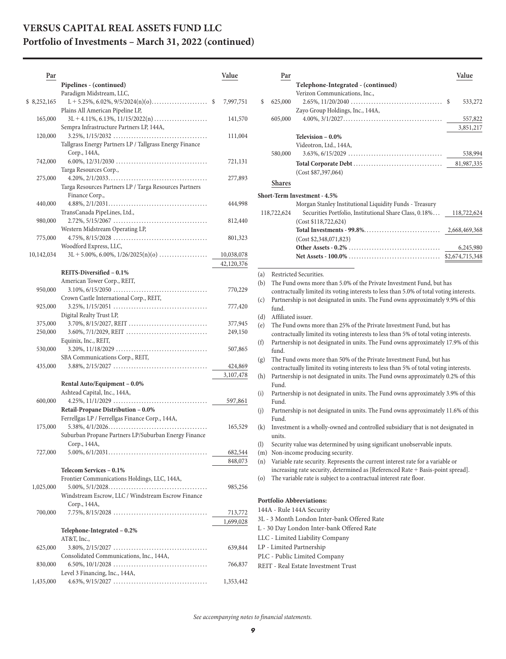| Par          |                                                                                                                                                     | Value                    |
|--------------|-----------------------------------------------------------------------------------------------------------------------------------------------------|--------------------------|
|              | Pipelines - (continued)<br>Paradigm Midstream, LLC,                                                                                                 |                          |
| \$ 8,252,165 | $L + 5.25\%, 6.02\%, 9/5/2024(n)(o)$ \$<br>Plains All American Pipeline LP,                                                                         | 7,997,751                |
| 165,000      | Sempra Infrastructure Partners LP, 144A,                                                                                                            | 141,570                  |
| 120,000      | Tallgrass Energy Partners LP / Tallgrass Energy Finance                                                                                             | 111,004                  |
| 742,000      | Corp., 144A,                                                                                                                                        | 721,131                  |
| 275,000      | Targa Resources Corp.,<br>Targa Resources Partners LP / Targa Resources Partners                                                                    | 277,893                  |
| 440,000      | Finance Corp.,<br>$4.88\%, 2/1/2031 \dots 11.11$                                                                                                    | 444,998                  |
| 980,000      | TransCanada PipeLines, Ltd.,<br>$2.72\%, 5/15/2067 \ldots \ldots \ldots \ldots \ldots \ldots \ldots \ldots \ldots \ldots \ldots \ldots \ldots$      | 812,440                  |
| 775,000      | Western Midstream Operating LP,<br>Woodford Express, LLC,                                                                                           | 801,323                  |
| 10,142,034   | $3L + 5.00\%, 6.00\%, 1/26/2025(n)(o)$                                                                                                              | 10,038,078<br>42,120,376 |
|              | REITS-Diversified - 0.1%                                                                                                                            |                          |
|              | American Tower Corp., REIT,                                                                                                                         |                          |
| 950,000      | $3.10\%, 6/15/2050 \ldots \ldots \ldots \ldots \ldots \ldots \ldots \ldots \ldots \ldots \ldots$<br>Crown Castle International Corp., REIT,         | 770,229                  |
| 925,000      | $3.25\%, 1/15/2051 \ldots \ldots \ldots \ldots \ldots \ldots \ldots \ldots \ldots \ldots \ldots$<br>Digital Realty Trust LP,                        | 777,420                  |
| 375,000      | 3.70%, 8/15/2027, REIT                                                                                                                              | 377,945                  |
| 250,000      | 3.60%, 7/1/2029, REIT<br>Equinix, Inc., REIT,                                                                                                       | 249,150                  |
| 530,000      | $3.20\%, 11/18/2029 \ldots \ldots \ldots \ldots \ldots \ldots \ldots \ldots \ldots \ldots \ldots$<br>SBA Communications Corp., REIT,                | 507,865                  |
| 435,000      | $3.88\%, 2/15/2027 \ldots \ldots \ldots \ldots \ldots \ldots \ldots \ldots \ldots \ldots \ldots$                                                    | 424,869                  |
|              |                                                                                                                                                     | 3,107,478                |
|              | Rental Auto/Equipment - 0.0%                                                                                                                        |                          |
| 600,000      | Ashtead Capital, Inc., 144A,                                                                                                                        |                          |
|              | Retail-Propane Distribution - 0.0%                                                                                                                  | 597,861                  |
| 175,000      | Ferrellgas LP / Ferrellgas Finance Corp., 144A,                                                                                                     | 165,529                  |
|              | Suburban Propane Partners LP/Suburban Energy Finance<br>Corp., 144A,                                                                                |                          |
| 727,000      | $5.00\%, 6/1/2031 \dots \dots \dots \dots \dots \dots \dots \dots \dots \dots \dots$                                                                | 682,544                  |
|              |                                                                                                                                                     | 848,073                  |
|              | Telecom Services - 0.1%                                                                                                                             |                          |
|              | Frontier Communications Holdings, LLC, 144A,                                                                                                        |                          |
| 1,025,000    | Windstream Escrow, LLC / Windstream Escrow Finance                                                                                                  | 985,256                  |
| 700,000      | Corp., 144A,                                                                                                                                        | 713,772                  |
|              | Telephone-Integrated - 0.2%<br>AT&T, Inc.,                                                                                                          | 1,699,028                |
| 625,000      | $3.80\%, 2/15/2027 \ldots \ldots \ldots \ldots \ldots \ldots \ldots \ldots \ldots \ldots \ldots \ldots$<br>Consolidated Communications, Inc., 144A, | 639,844                  |
| 830,000      | Level 3 Financing, Inc., 144A,                                                                                                                      | 766,837                  |
| 1,435,000    | $4.63\%, 9/15/2027 \ldots \ldots \ldots \ldots \ldots \ldots \ldots \ldots \ldots \ldots \ldots \ldots$                                             | 1,353,442                |

| Par           |                                                                                                        | Value           |
|---------------|--------------------------------------------------------------------------------------------------------|-----------------|
|               | Telephone-Integrated - (continued)                                                                     |                 |
|               | Verizon Communications, Inc.,                                                                          |                 |
| \$<br>625,000 | $2.65\%, 11/20/2040$                                                                                   | 533,272<br>\$.  |
|               | Zayo Group Holdings, Inc., 144A,                                                                       |                 |
| 605,000       | $4.00\%, 3/1/2027 \ldots \ldots \ldots \ldots \ldots \ldots \ldots \ldots \ldots \ldots \ldots \ldots$ | 557,822         |
|               |                                                                                                        | 3,851,217       |
|               | Television - 0.0%                                                                                      |                 |
|               | Videotron, Ltd., 144A,                                                                                 |                 |
| 580,000       | $3.63\%, 6/15/2029$                                                                                    | 538,994         |
|               |                                                                                                        | 81,987,335      |
|               | (Cost \$87,397,064)                                                                                    |                 |
| <b>Shares</b> |                                                                                                        |                 |
|               | Short-Term Investment - 4.5%                                                                           |                 |
|               | Morgan Stanley Institutional Liquidity Funds - Treasury                                                |                 |
| 118,722,624   | Securities Portfolio, Institutional Share Class, 0.18%                                                 | 118,722,624     |
|               | (Cost \$118, 722, 624)                                                                                 |                 |
|               |                                                                                                        |                 |
|               | (Cost \$2,348,071,823)                                                                                 |                 |
|               |                                                                                                        | 6,245,980       |
|               |                                                                                                        | \$2,674,715,348 |
|               |                                                                                                        |                 |

(a) Restricted Securities.

(b) The Fund owns more than 5.0% of the Private Investment Fund, but has contractually limited its voting interests to less than 5.0% of total voting interests.

(c) Partnership is not designated in units. The Fund owns approximately 9.9% of this fund.

(d) Affiliated issuer.

(e) The Fund owns more than 25% of the Private Investment Fund, but has contractually limited its voting interests to less than 5% of total voting interests.

- (f) Partnership is not designated in units. The Fund owns approximately 17.9% of this fund.
- (g) The Fund owns more than 50% of the Private Investment Fund, but has contractually limited its voting interests to less than 5% of total voting interests.
- (h) Partnership is not designated in units. The Fund owns approximately 0.2% of this Fund.
- (i) Partnership is not designated in units. The Fund owns approximately 3.9% of this Fund.
- (j) Partnership is not designated in units. The Fund owns approximately 11.6% of this Fund.
- (k) Investment is a wholly-owned and controlled subsidiary that is not designated in units.
- (l) Security value was determined by using significant unobservable inputs.

(m) Non-income producing security.

(n) Variable rate security. Represents the current interest rate for a variable or increasing rate security, determined as [Referenced Rate + Basis-point spread].

(o) The variable rate is subject to a contractual interest rate floor.

#### **Portfolio Abbreviations:**

144A - Rule 144A Security

3L - 3 Month London Inter-bank Offered Rate

L - 30 Day London Inter-bank Offered Rate

LLC - Limited Liability Company

LP - Limited Partnership

PLC - Public Limited Company

REIT - Real Estate Investment Trust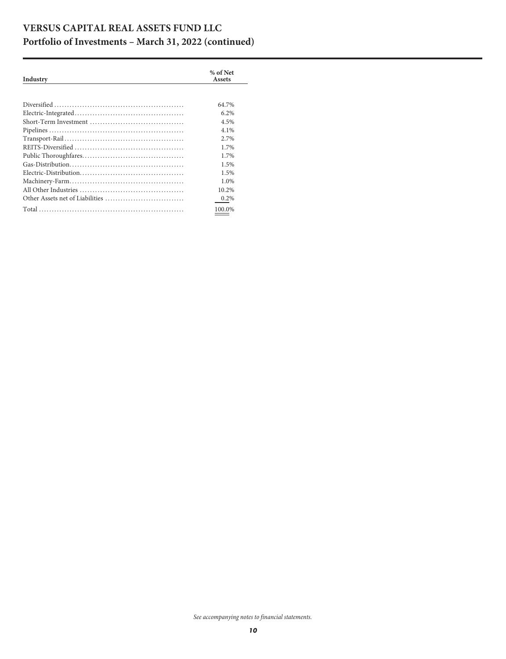| Industry | % of Net<br>Assets |
|----------|--------------------|
|          |                    |
|          | 64.7%              |
|          | 6.2%               |
|          | 4.5%               |
|          | 4.1%               |
|          | 2.7%               |
|          | 1.7%               |
|          | 1.7%               |
|          | 1.5%               |
|          | 1.5%               |
|          | 1.0%               |
|          | 10.2%              |
|          | 0.2%               |
|          | 100.0%             |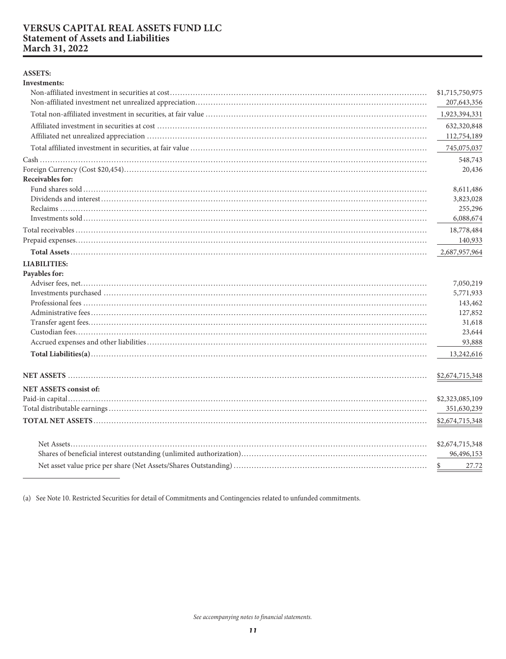#### <span id="page-11-0"></span>**VERSUS CAPITAL REAL ASSETS FUND LLC Statement of Assets and Liabilities** March 31, 2022

#### **ASSETS:**

| <b>Investments:</b>           |                      |
|-------------------------------|----------------------|
|                               | \$1,715,750,975      |
|                               | 207, 643, 356        |
|                               | 1,923,394,331        |
|                               | 632,320,848          |
|                               | 112,754,189          |
|                               | 745,075,037          |
|                               | 548,743              |
| Receivables for:              | 20,436               |
|                               |                      |
|                               | 8,611,486            |
|                               | 3,823,028<br>255,296 |
|                               | 6,088,674            |
|                               |                      |
|                               | 18,778,484           |
|                               | 140,933              |
|                               | 2,687,957,964        |
| <b>LIABILITIES:</b>           |                      |
| Payables for:                 |                      |
|                               | 7,050,219            |
|                               | 5,771,933            |
|                               | 143,462              |
|                               | 127,852              |
|                               | 31,618               |
|                               | 23,644               |
|                               | 93,888               |
|                               | 13,242,616           |
|                               | \$2,674,715,348      |
| <b>NET ASSETS consist of:</b> |                      |
|                               | \$2,323,085,109      |
|                               | 351,630,239          |
|                               | \$2,674,715,348      |
|                               | \$2,674,715,348      |
|                               | 96,496,153           |
|                               |                      |
|                               | \$<br>27.72          |

(a) See Note 10. Restricted Securities for detail of Commitments and Contingencies related to unfunded commitments.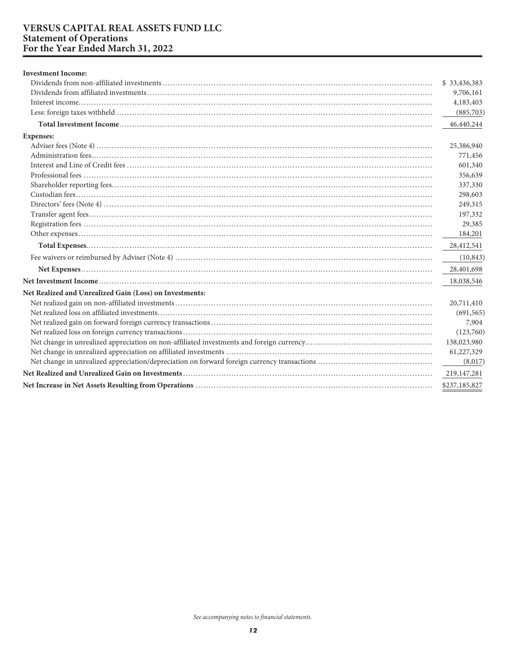# <span id="page-12-0"></span>**VERSUS CAPITAL REAL ASSETS FUND LLC<br>Statement of Operations<br>For the Year Ended March 31, 2022**

| <b>Investment Income:</b>                               |               |
|---------------------------------------------------------|---------------|
|                                                         | \$33,436,383  |
|                                                         | 9,706,161     |
|                                                         | 4,183,403     |
|                                                         | (885,703)     |
|                                                         | 46,440,244    |
| <b>Expenses:</b>                                        |               |
|                                                         | 25,386,940    |
|                                                         | 771,456       |
|                                                         | 601,340       |
|                                                         | 356,639       |
|                                                         | 337,330       |
|                                                         | 298,603       |
|                                                         | 249,315       |
|                                                         | 197,332       |
|                                                         | 29,385        |
|                                                         | 184,201       |
|                                                         | 28,412,541    |
|                                                         | (10, 843)     |
|                                                         | 28,401,698    |
|                                                         | 18,038,546    |
| Net Realized and Unrealized Gain (Loss) on Investments: |               |
|                                                         | 20,711,410    |
|                                                         | (691, 565)    |
|                                                         | 7,904         |
|                                                         | (123,760)     |
|                                                         | 138,023,980   |
|                                                         | 61,227,329    |
|                                                         | (8,017)       |
|                                                         | 219,147,281   |
|                                                         | \$237,185,827 |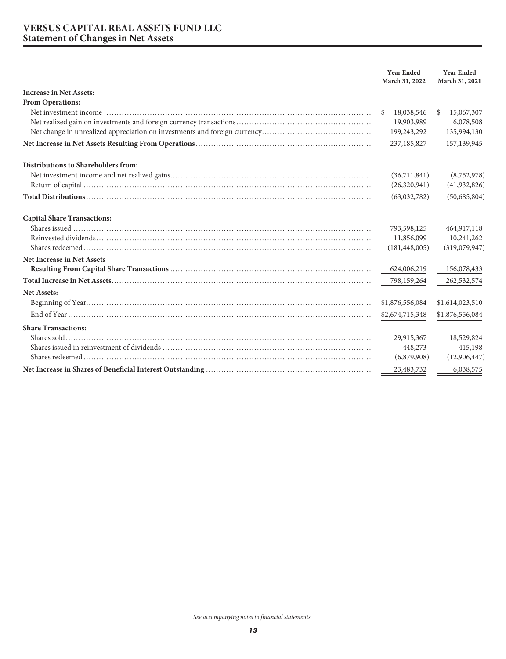#### <span id="page-13-0"></span>**VERSUS CAPITAL REAL ASSETS FUND LLC Statement of Changes in Net Assets**

|                                     | <b>Year Ended</b><br>March 31, 2022 | <b>Year Ended</b><br>March 31, 2021 |
|-------------------------------------|-------------------------------------|-------------------------------------|
| <b>Increase in Net Assets:</b>      |                                     |                                     |
| From Operations:                    |                                     |                                     |
|                                     | 18,038,546<br>\$.                   | 15,067,307<br>\$                    |
|                                     | 19,903,989                          | 6,078,508                           |
|                                     | 199,243,292                         | 135,994,130                         |
|                                     | 237,185,827                         | 157,139,945                         |
| Distributions to Shareholders from: |                                     |                                     |
|                                     | (36,711,841)                        | (8,752,978)                         |
|                                     | (26,320,941)                        | (41, 932, 826)                      |
|                                     | (63,032,782)                        | (50,685,804)                        |
| <b>Capital Share Transactions:</b>  |                                     |                                     |
|                                     | 793,598,125                         | 464,917,118                         |
|                                     | 11,856,099                          | 10,241,262                          |
|                                     | (181, 448, 005)                     | (319,079,947)                       |
| <b>Net Increase in Net Assets</b>   |                                     |                                     |
|                                     | 624,006,219                         | 156,078,433                         |
|                                     | 798,159,264                         | 262,532,574                         |
| <b>Net Assets:</b>                  |                                     |                                     |
|                                     | \$1,876,556,084                     | \$1,614,023,510                     |
|                                     | \$2,674,715,348                     | \$1,876,556,084                     |
| <b>Share Transactions:</b>          |                                     |                                     |
|                                     | 29,915,367                          | 18,529,824                          |
|                                     | 448,273                             | 415,198                             |
|                                     | (6,879,908)                         | (12,906,447)                        |
|                                     | 23,483,732                          | 6,038,575                           |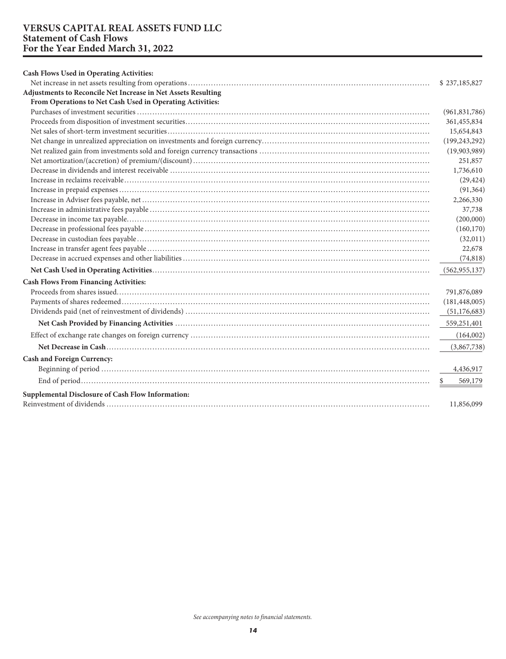#### <span id="page-14-0"></span>**VERSUS CAPITAL REAL ASSETS FUND LLC Statement of Cash Flows For the Year Ended March 31, 2022**

| Cash Flows Used in Operating Activities:                      |                 |
|---------------------------------------------------------------|-----------------|
|                                                               | \$237,185,827   |
| Adjustments to Reconcile Net Increase in Net Assets Resulting |                 |
| From Operations to Net Cash Used in Operating Activities:     |                 |
|                                                               | (961, 831, 786) |
|                                                               | 361,455,834     |
|                                                               | 15,654,843      |
|                                                               | (199, 243, 292) |
|                                                               | (19,903,989)    |
|                                                               | 251,857         |
|                                                               | 1,736,610       |
|                                                               | (29, 424)       |
|                                                               | (91, 364)       |
|                                                               | 2,266,330       |
|                                                               | 37,738          |
|                                                               | (200,000)       |
|                                                               | (160, 170)      |
|                                                               | (32,011)        |
|                                                               | 22,678          |
|                                                               | (74, 818)       |
|                                                               | (562, 955, 137) |
| <b>Cash Flows From Financing Activities:</b>                  |                 |
|                                                               | 791,876,089     |
|                                                               | (181, 448, 005) |
|                                                               | (51, 176, 683)  |
|                                                               | 559,251,401     |
|                                                               | (164,002)       |
|                                                               | (3,867,738)     |
| <b>Cash and Foreign Currency:</b>                             |                 |
|                                                               | 4,436,917       |
|                                                               | 569,179         |
| Supplemental Disclosure of Cash Flow Information:             | 11,856,099      |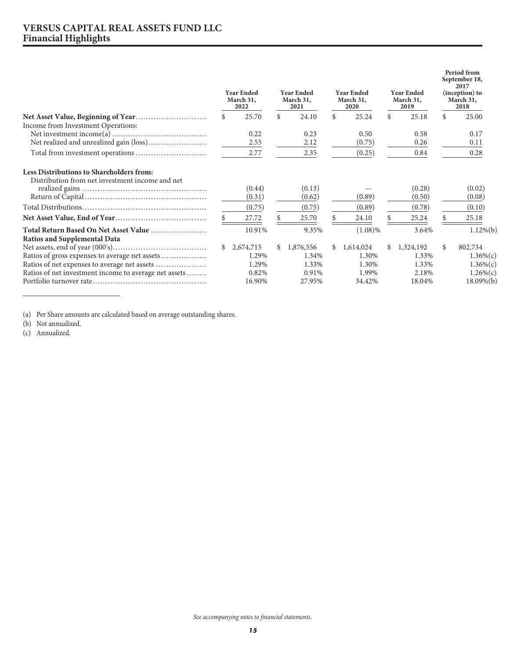#### <span id="page-15-0"></span>**VERSUS CAPITAL REAL ASSETS FUND LLC Financial Highlights**

|                                                       | <b>Year Ended</b><br>March 31,<br>2022 |           | <b>Year Ended</b><br>March 31,<br>2021 |           | <b>Year Ended</b><br>March 31,<br>2020 |            | <b>Year Ended</b><br>March 31,<br>2019 |           | Period from<br>September 18,<br>2017<br>(inception) to<br>March 31,<br>2018 |               |
|-------------------------------------------------------|----------------------------------------|-----------|----------------------------------------|-----------|----------------------------------------|------------|----------------------------------------|-----------|-----------------------------------------------------------------------------|---------------|
|                                                       | \$                                     | 25.70     | \$                                     | 24.10     | \$                                     | 25.24      | \$                                     | 25.18     | \$                                                                          | 25.00         |
| Income from Investment Operations:                    |                                        |           |                                        |           |                                        |            |                                        |           |                                                                             |               |
|                                                       |                                        | 0.22      |                                        | 0.23      |                                        | 0.50       |                                        | 0.58      |                                                                             | 0.17          |
|                                                       |                                        | 2.55      |                                        | 2.12      |                                        | (0.75)     |                                        | 0.26      |                                                                             | 0.11          |
|                                                       |                                        | 2.77      |                                        | 2.35      |                                        | (0.25)     |                                        | 0.84      |                                                                             | 0.28          |
| Less Distributions to Shareholders from:              |                                        |           |                                        |           |                                        |            |                                        |           |                                                                             |               |
| Distribution from net investment income and net       |                                        | (0.44)    |                                        | (0.13)    |                                        |            |                                        | (0.28)    |                                                                             | (0.02)        |
|                                                       |                                        | (0.31)    |                                        | (0.62)    |                                        | (0.89)     |                                        | (0.50)    |                                                                             | (0.08)        |
|                                                       |                                        | (0.75)    |                                        | (0.75)    |                                        | (0.89)     |                                        | (0.78)    |                                                                             | (0.10)        |
|                                                       |                                        | 27.72     |                                        | 25.70     |                                        | 24.10      |                                        | 25.24     |                                                                             | 25.18         |
| Total Return Based On Net Asset Value                 |                                        | 10.91%    |                                        | 9.35%     |                                        | $(1.08)\%$ |                                        | 3.64%     |                                                                             | $1.12\%(b)$   |
| <b>Ratios and Supplemental Data</b>                   |                                        |           |                                        |           |                                        |            |                                        |           |                                                                             |               |
|                                                       | \$                                     | 2,674,715 | \$                                     | 1,876,556 | \$                                     | 1,614,024  | \$                                     | 1,324,192 | \$                                                                          | 802,734       |
|                                                       |                                        | 1.29%     |                                        | 1.34%     |                                        | 1.30%      |                                        | 1.33%     |                                                                             | $1.36\%$ (c)  |
|                                                       |                                        | 1.29%     |                                        | 1.33%     |                                        | 1.30%      |                                        | 1.33%     |                                                                             | $1.36\%$ (c)  |
| Ratios of net investment income to average net assets |                                        | 0.82%     |                                        | 0.91%     |                                        | 1.99%      |                                        | 2.18%     |                                                                             | $1.26\%$ (c)  |
|                                                       |                                        | 16.90%    |                                        | 27.95%    |                                        | 34.42%     |                                        | 18.04%    |                                                                             | $18.09\%$ (b) |

(a) Per Share amounts are calculated based on average outstanding shares.

(c) Annualized.

<sup>(</sup>b) Not annualized.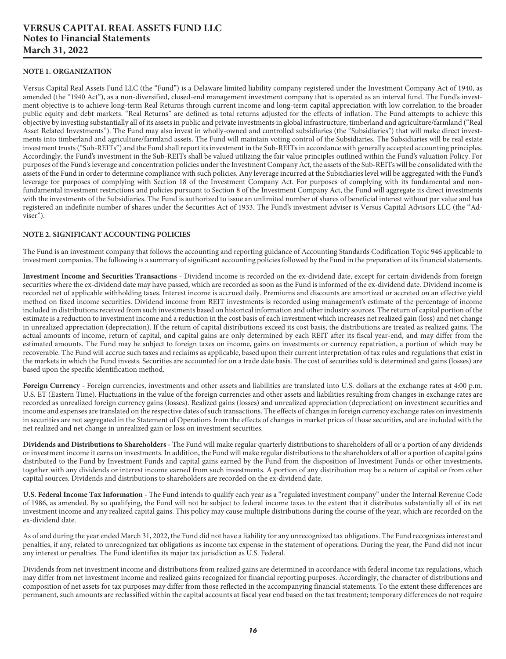#### <span id="page-16-0"></span>**VERSUS CAPITAL REAL ASSETS FUND LLC Notes to Financial Statements March 31, 2022**

#### **NOTE 1. ORGANIZATION**

Versus Capital Real Assets Fund LLC (the "Fund") is a Delaware limited liability company registered under the Investment Company Act of 1940, as amended (the "1940 Act"), as a non-diversified, closed-end management investment company that is operated as an interval fund. The Fund's investment objective is to achieve long-term Real Returns through current income and long-term capital appreciation with low correlation to the broader public equity and debt markets. "Real Returns" are defined as total returns adjusted for the effects of inflation. The Fund attempts to achieve this objective by investing substantially all of its assets in public and private investments in global infrastructure, timberland and agriculture/farmland ("Real Asset Related Investments"). The Fund may also invest in wholly-owned and controlled subsidiaries (the "Subsidiaries") that will make direct investments into timberland and agriculture/farmland assets. The Fund will maintain voting control of the Subsidiaries. The Subsidiaries will be real estate investment trusts ("Sub-REITs") and the Fund shall report its investment in the Sub-REITs in accordance with generally accepted accounting principles. Accordingly, the Fund's investment in the Sub-REITs shall be valued utilizing the fair value principles outlined within the Fund's valuation Policy. For purposes of the Fund's leverage and concentration policies under the Investment Company Act, the assets of the Sub-REITs will be consolidated with the assets of the Fund in order to determine compliance with such policies. Any leverage incurred at the Subsidiaries level will be aggregated with the Fund's leverage for purposes of complying with Section 18 of the Investment Company Act. For purposes of complying with its fundamental and nonfundamental investment restrictions and policies pursuant to Section 8 of the Investment Company Act, the Fund will aggregate its direct investments with the investments of the Subsidiaries. The Fund is authorized to issue an unlimited number of shares of beneficial interest without par value and has registered an indefinite number of shares under the Securities Act of 1933. The Fund's investment adviser is Versus Capital Advisors LLC (the ''Adviser").

#### **NOTE 2. SIGNIFICANT ACCOUNTING POLICIES**

The Fund is an investment company that follows the accounting and reporting guidance of Accounting Standards Codification Topic 946 applicable to investment companies. The following is a summary of significant accounting policies followed by the Fund in the preparation of its financial statements.

**Investment Income and Securities Transactions** - Dividend income is recorded on the ex-dividend date, except for certain dividends from foreign securities where the ex-dividend date may have passed, which are recorded as soon as the Fund is informed of the ex-dividend date. Dividend income is recorded net of applicable withholding taxes. Interest income is accrued daily. Premiums and discounts are amortized or accreted on an effective yield method on fixed income securities. Dividend income from REIT investments is recorded using management's estimate of the percentage of income included in distributions received from such investments based on historical information and other industry sources. The return of capital portion of the estimate is a reduction to investment income and a reduction in the cost basis of each investment which increases net realized gain (loss) and net change in unrealized appreciation (depreciation). If the return of capital distributions exceed its cost basis, the distributions are treated as realized gains. The actual amounts of income, return of capital, and capital gains are only determined by each REIT after its fiscal year-end, and may differ from the estimated amounts. The Fund may be subject to foreign taxes on income, gains on investments or currency repatriation, a portion of which may be recoverable. The Fund will accrue such taxes and reclaims as applicable, based upon their current interpretation of tax rules and regulations that exist in the markets in which the Fund invests. Securities are accounted for on a trade date basis. The cost of securities sold is determined and gains (losses) are based upon the specific identification method.

**Foreign Currency** - Foreign currencies, investments and other assets and liabilities are translated into U.S. dollars at the exchange rates at 4:00 p.m. U.S. ET (Eastern Time). Fluctuations in the value of the foreign currencies and other assets and liabilities resulting from changes in exchange rates are recorded as unrealized foreign currency gains (losses). Realized gains (losses) and unrealized appreciation (depreciation) on investment securities and income and expenses are translated on the respective dates of such transactions. The effects of changes in foreign currency exchange rates on investments in securities are not segregated in the Statement of Operations from the effects of changes in market prices of those securities, and are included with the net realized and net change in unrealized gain or loss on investment securities.

**Dividends and Distributions to Shareholders** - The Fund will make regular quarterly distributions to shareholders of all or a portion of any dividends or investment income it earns on investments. In addition, the Fund will make regular distributions to the shareholders of all or a portion of capital gains distributed to the Fund by Investment Funds and capital gains earned by the Fund from the disposition of Investment Funds or other investments, together with any dividends or interest income earned from such investments. A portion of any distribution may be a return of capital or from other capital sources. Dividends and distributions to shareholders are recorded on the ex-dividend date.

**U.S. Federal Income Tax Information** - The Fund intends to qualify each year as a "regulated investment company" under the Internal Revenue Code of 1986, as amended. By so qualifying, the Fund will not be subject to federal income taxes to the extent that it distributes substantially all of its net investment income and any realized capital gains. This policy may cause multiple distributions during the course of the year, which are recorded on the ex-dividend date.

As of and during the year ended March 31, 2022, the Fund did not have a liability for any unrecognized tax obligations. The Fund recognizes interest and penalties, if any, related to unrecognized tax obligations as income tax expense in the statement of operations. During the year, the Fund did not incur any interest or penalties. The Fund identifies its major tax jurisdiction as U.S. Federal.

Dividends from net investment income and distributions from realized gains are determined in accordance with federal income tax regulations, which may differ from net investment income and realized gains recognized for financial reporting purposes. Accordingly, the character of distributions and composition of net assets for tax purposes may differ from those reflected in the accompanying financial statements. To the extent these differences are permanent, such amounts are reclassified within the capital accounts at fiscal year end based on the tax treatment; temporary differences do not require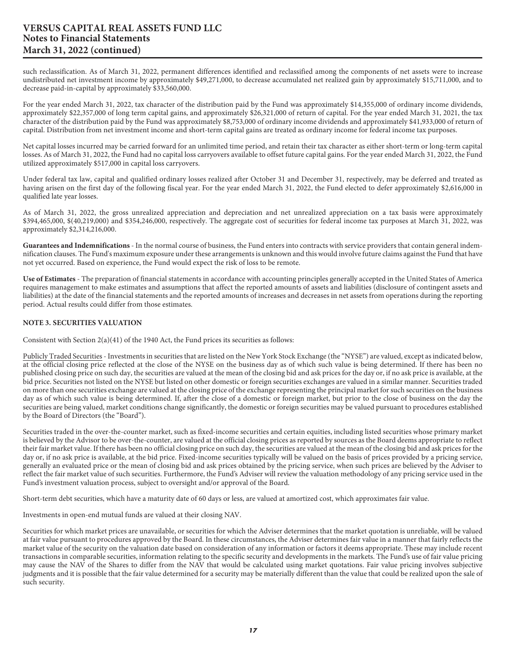such reclassification. As of March 31, 2022, permanent differences identified and reclassified among the components of net assets were to increase undistributed net investment income by approximately \$49,271,000, to decrease accumulated net realized gain by approximately \$15,711,000, and to decrease paid-in-capital by approximately \$33,560,000.

For the year ended March 31, 2022, tax character of the distribution paid by the Fund was approximately \$14,355,000 of ordinary income dividends, approximately \$22,357,000 of long term capital gains, and approximately \$26,321,000 of return of capital. For the year ended March 31, 2021, the tax character of the distribution paid by the Fund was approximately \$8,753,000 of ordinary income dividends and approximately \$41,933,000 of return of capital. Distribution from net investment income and short-term capital gains are treated as ordinary income for federal income tax purposes.

Net capital losses incurred may be carried forward for an unlimited time period, and retain their tax character as either short-term or long-term capital losses. As of March 31, 2022, the Fund had no capital loss carryovers available to offset future capital gains. For the year ended March 31, 2022, the Fund utilized approximately \$517,000 in capital loss carryovers.

Under federal tax law, capital and qualified ordinary losses realized after October 31 and December 31, respectively, may be deferred and treated as having arisen on the first day of the following fiscal year. For the year ended March 31, 2022, the Fund elected to defer approximately \$2,616,000 in qualified late year losses.

As of March 31, 2022, the gross unrealized appreciation and depreciation and net unrealized appreciation on a tax basis were approximately \$394,465,000, \$(40,219,000) and \$354,246,000, respectively. The aggregate cost of securities for federal income tax purposes at March 31, 2022, was approximately \$2,314,216,000.

**Guarantees and Indemnifications** - In the normal course of business, the Fund enters into contracts with service providers that contain general indemnification clauses. The Fund's maximum exposure under these arrangements is unknown and this would involve future claims against the Fund that have not yet occurred. Based on experience, the Fund would expect the risk of loss to be remote.

**Use of Estimates** - The preparation of financial statements in accordance with accounting principles generally accepted in the United States of America requires management to make estimates and assumptions that affect the reported amounts of assets and liabilities (disclosure of contingent assets and liabilities) at the date of the financial statements and the reported amounts of increases and decreases in net assets from operations during the reporting period. Actual results could differ from those estimates.

#### **NOTE 3. SECURITIES VALUATION**

Consistent with Section 2(a)(41) of the 1940 Act, the Fund prices its securities as follows:

Publicly Traded Securities - Investments in securities that are listed on the New York Stock Exchange (the "NYSE") are valued, except as indicated below, at the official closing price reflected at the close of the NYSE on the business day as of which such value is being determined. If there has been no published closing price on such day, the securities are valued at the mean of the closing bid and ask prices for the day or, if no ask price is available, at the bid price. Securities not listed on the NYSE but listed on other domestic or foreign securities exchanges are valued in a similar manner. Securities traded on more than one securities exchange are valued at the closing price of the exchange representing the principal market for such securities on the business day as of which such value is being determined. If, after the close of a domestic or foreign market, but prior to the close of business on the day the securities are being valued, market conditions change significantly, the domestic or foreign securities may be valued pursuant to procedures established by the Board of Directors (the "Board").

Securities traded in the over-the-counter market, such as fixed-income securities and certain equities, including listed securities whose primary market is believed by the Advisor to be over-the-counter, are valued at the official closing prices as reported by sources as the Board deems appropriate to reflect their fair market value. If there has been no official closing price on such day, the securities are valued at the mean of the closing bid and ask prices for the day or, if no ask price is available, at the bid price. Fixed-income securities typically will be valued on the basis of prices provided by a pricing service, generally an evaluated price or the mean of closing bid and ask prices obtained by the pricing service, when such prices are believed by the Adviser to reflect the fair market value of such securities. Furthermore, the Fund's Adviser will review the valuation methodology of any pricing service used in the Fund's investment valuation process, subject to oversight and/or approval of the Board.

Short-term debt securities, which have a maturity date of 60 days or less, are valued at amortized cost, which approximates fair value.

Investments in open-end mutual funds are valued at their closing NAV.

Securities for which market prices are unavailable, or securities for which the Adviser determines that the market quotation is unreliable, will be valued at fair value pursuant to procedures approved by the Board. In these circumstances, the Adviser determines fair value in a manner that fairly reflects the market value of the security on the valuation date based on consideration of any information or factors it deems appropriate. These may include recent transactions in comparable securities, information relating to the specific security and developments in the markets. The Fund's use of fair value pricing may cause the NAV of the Shares to differ from the NAV that would be calculated using market quotations. Fair value pricing involves subjective judgments and it is possible that the fair value determined for a security may be materially different than the value that could be realized upon the sale of such security.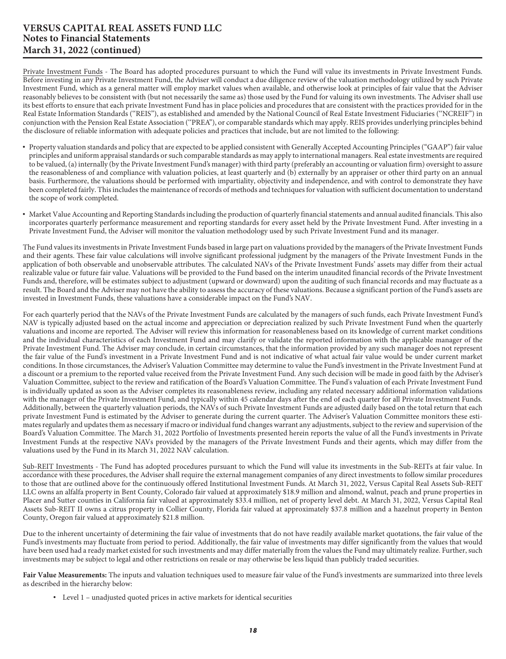Private Investment Funds - The Board has adopted procedures pursuant to which the Fund will value its investments in Private Investment Funds. Before investing in any Private Investment Fund, the Adviser will conduct a due diligence review of the valuation methodology utilized by such Private Investment Fund, which as a general matter will employ market values when available, and otherwise look at principles of fair value that the Adviser reasonably believes to be consistent with (but not necessarily the same as) those used by the Fund for valuing its own investments. The Adviser shall use its best efforts to ensure that each private Investment Fund has in place policies and procedures that are consistent with the practices provided for in the Real Estate Information Standards (''REIS''), as established and amended by the National Council of Real Estate Investment Fiduciaries (''NCREIF'') in conjunction with the Pension Real Estate Association (''PREA''), or comparable standards which may apply. REIS provides underlying principles behind the disclosure of reliable information with adequate policies and practices that include, but are not limited to the following:

- Property valuation standards and policy that are expected to be applied consistent with Generally Accepted Accounting Principles ("GAAP") fair value principles and uniform appraisal standards or such comparable standards as may apply to international managers. Real estate investments are required to be valued, (a) internally (by the Private Investment Fund's manager) with third party (preferably an accounting or valuation firm) oversight to assure the reasonableness of and compliance with valuation policies, at least quarterly and (b) externally by an appraiser or other third party on an annual basis. Furthermore, the valuations should be performed with impartiality, objectivity and independence, and with control to demonstrate they have been completed fairly. This includes the maintenance of records of methods and techniques for valuation with sufficient documentation to understand the scope of work completed.
- Market Value Accounting and Reporting Standards including the production of quarterly financial statements and annual audited financials. This also incorporates quarterly performance measurement and reporting standards for every asset held by the Private Investment Fund. After investing in a Private Investment Fund, the Adviser will monitor the valuation methodology used by such Private Investment Fund and its manager.

The Fund values its investments in Private Investment Funds based in large part on valuations provided by the managers of the Private Investment Funds and their agents. These fair value calculations will involve significant professional judgment by the managers of the Private Investment Funds in the application of both observable and unobservable attributes. The calculated NAVs of the Private Investment Funds' assets may differ from their actual realizable value or future fair value. Valuations will be provided to the Fund based on the interim unaudited financial records of the Private Investment Funds and, therefore, will be estimates subject to adjustment (upward or downward) upon the auditing of such financial records and may fluctuate as a result. The Board and the Adviser may not have the ability to assess the accuracy of these valuations. Because a significant portion of the Fund's assets are invested in Investment Funds, these valuations have a considerable impact on the Fund's NAV.

For each quarterly period that the NAVs of the Private Investment Funds are calculated by the managers of such funds, each Private Investment Fund's NAV is typically adjusted based on the actual income and appreciation or depreciation realized by such Private Investment Fund when the quarterly valuations and income are reported. The Adviser will review this information for reasonableness based on its knowledge of current market conditions and the individual characteristics of each Investment Fund and may clarify or validate the reported information with the applicable manager of the Private Investment Fund. The Adviser may conclude, in certain circumstances, that the information provided by any such manager does not represent the fair value of the Fund's investment in a Private Investment Fund and is not indicative of what actual fair value would be under current market conditions. In those circumstances, the Adviser's Valuation Committee may determine to value the Fund's investment in the Private Investment Fund at a discount or a premium to the reported value received from the Private Investment Fund. Any such decision will be made in good faith by the Adviser's Valuation Committee, subject to the review and ratification of the Board's Valuation Committee. The Fund's valuation of each Private Investment Fund is individually updated as soon as the Adviser completes its reasonableness review, including any related necessary additional information validations with the manager of the Private Investment Fund, and typically within 45 calendar days after the end of each quarter for all Private Investment Funds. Additionally, between the quarterly valuation periods, the NAVs of such Private Investment Funds are adjusted daily based on the total return that each private Investment Fund is estimated by the Adviser to generate during the current quarter. The Adviser's Valuation Committee monitors these estimates regularly and updates them as necessary if macro or individual fund changes warrant any adjustments, subject to the review and supervision of the Board's Valuation Committee. The March 31, 2022 Portfolio of Investments presented herein reports the value of all the Fund's investments in Private Investment Funds at the respective NAVs provided by the managers of the Private Investment Funds and their agents, which may differ from the valuations used by the Fund in its March 31, 2022 NAV calculation.

Sub-REIT Investments - The Fund has adopted procedures pursuant to which the Fund will value its investments in the Sub-REITs at fair value. In accordance with these procedures, the Adviser shall require the external management companies of any direct investments to follow similar procedures to those that are outlined above for the continuously offered Institutional Investment Funds. At March 31, 2022, Versus Capital Real Assets Sub-REIT LLC owns an alfalfa property in Bent County, Colorado fair valued at approximately \$18.9 million and almond, walnut, peach and prune properties in Placer and Sutter counties in California fair valued at approximately \$33.4 million, net of property level debt. At March 31, 2022, Versus Capital Real Assets Sub-REIT II owns a citrus property in Collier County, Florida fair valued at approximately \$37.8 million and a hazelnut property in Benton County, Oregon fair valued at approximately \$21.8 million.

Due to the inherent uncertainty of determining the fair value of investments that do not have readily available market quotations, the fair value of the Fund's investments may fluctuate from period to period. Additionally, the fair value of investments may differ significantly from the values that would have been used had a ready market existed for such investments and may differ materially from the values the Fund may ultimately realize. Further, such investments may be subject to legal and other restrictions on resale or may otherwise be less liquid than publicly traded securities.

**Fair Value Measurements:** The inputs and valuation techniques used to measure fair value of the Fund's investments are summarized into three levels as described in the hierarchy below:

• Level 1 – unadjusted quoted prices in active markets for identical securities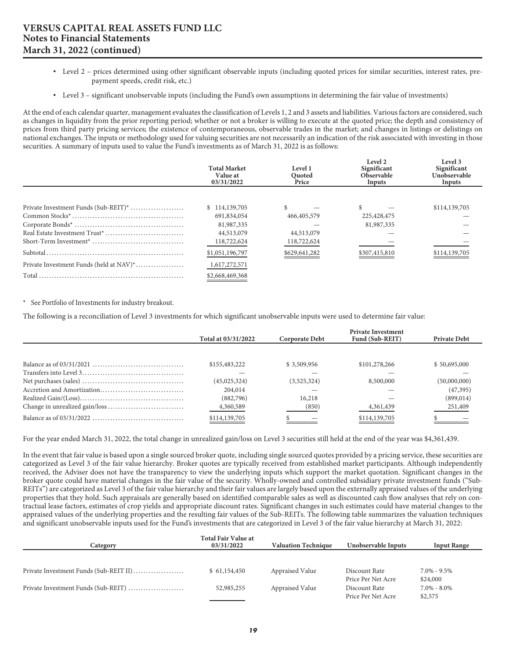- Level 2 prices determined using other significant observable inputs (including quoted prices for similar securities, interest rates, prepayment speeds, credit risk, etc.)
- Level 3 significant unobservable inputs (including the Fund's own assumptions in determining the fair value of investments)

At the end of each calendar quarter, management evaluates the classification of Levels 1, 2 and 3 assets and liabilities. Various factors are considered, such as changes in liquidity from the prior reporting period; whether or not a broker is willing to execute at the quoted price; the depth and consistency of prices from third party pricing services; the existence of contemporaneous, observable trades in the market; and changes in listings or delistings on national exchanges. The inputs or methodology used for valuing securities are not necessarily an indication of the risk associated with investing in those securities. A summary of inputs used to value the Fund's investments as of March 31, 2022 is as follows:

|                                         | <b>Total Market</b><br>Value at<br>03/31/2022 | Level 1<br>Ouoted<br>Price | Level 2<br>Significant<br><b>Observable</b><br>Inputs | Level 3<br>Significant<br>Unobservable<br>Inputs |
|-----------------------------------------|-----------------------------------------------|----------------------------|-------------------------------------------------------|--------------------------------------------------|
|                                         |                                               |                            |                                                       |                                                  |
| Private Investment Funds (Sub-REIT)*    | \$114,139,705                                 |                            |                                                       | \$114,139,705                                    |
|                                         | 691,834,054                                   | 466, 405, 579              | 225,428,475                                           |                                                  |
|                                         | 81,987,335                                    |                            | 81,987,335                                            |                                                  |
|                                         | 44,513,079                                    | 44,513,079                 |                                                       |                                                  |
|                                         | 118,722,624                                   | 118,722,624                |                                                       |                                                  |
|                                         | \$1,051,196,797                               | \$629,641,282              | \$307,415,810                                         | \$114,139,705                                    |
| Private Investment Funds (held at NAV)* | 1,617,272,571                                 |                            |                                                       |                                                  |
|                                         | \$2,668,469,368                               |                            |                                                       |                                                  |

\* See Portfolio of Investments for industry breakout.

The following is a reconciliation of Level 3 investments for which significant unobservable inputs were used to determine fair value:

| Total at 03/31/2022 | Corporate Debt | <b>Private Investment</b><br>Fund (Sub-REIT) | <b>Private Debt</b> |
|---------------------|----------------|----------------------------------------------|---------------------|
|                     |                |                                              |                     |
| \$155,483,222       | \$3,509,956    | \$101,278,266                                | \$50,695,000        |
|                     |                |                                              |                     |
| (45, 025, 324)      | (3,525,324)    | 8,500,000                                    | (50,000,000)        |
| 204,014             |                |                                              | (47,395)            |
| (882,796)           | 16,218         |                                              | (899, 014)          |
| 4,360,589           | (850)          | 4,361,439                                    | 251,409             |
| \$114,139,705       |                | \$114,139,705                                |                     |

For the year ended March 31, 2022, the total change in unrealized gain/loss on Level 3 securities still held at the end of the year was \$4,361,439.

In the event that fair value is based upon a single sourced broker quote, including single sourced quotes provided by a pricing service, these securities are categorized as Level 3 of the fair value hierarchy. Broker quotes are typically received from established market participants. Although independently received, the Adviser does not have the transparency to view the underlying inputs which support the market quotation. Significant changes in the broker quote could have material changes in the fair value of the security. Wholly-owned and controlled subsidiary private investment funds ("Sub-REITs") are categorized as Level 3 of the fair value hierarchy and their fair values are largely based upon the externally appraised values of the underlying properties that they hold. Such appraisals are generally based on identified comparable sales as well as discounted cash flow analyses that rely on contractual lease factors, estimates of crop yields and appropriate discount rates. Significant changes in such estimates could have material changes to the appraised values of the underlying properties and the resulting fair values of the Sub-REITs. The following table summarizes the valuation techniques and significant unobservable inputs used for the Fund's investments that are categorized in Level 3 of the fair value hierarchy at March 31, 2022:

| Category                               | <b>Total Fair Value at</b><br>03/31/2022 | <b>Valuation Technique</b> | Unobservable Inputs | <b>Input Range</b> |
|----------------------------------------|------------------------------------------|----------------------------|---------------------|--------------------|
|                                        |                                          |                            |                     |                    |
| Private Investment Funds (Sub-REIT II) | \$61,154,450                             | Appraised Value            | Discount Rate       | 7.0% - 9.5%        |
|                                        |                                          |                            | Price Per Net Acre  | \$24,000           |
| Private Investment Funds (Sub-REIT)    | 52,985,255                               | Appraised Value            | Discount Rate       | $7.0\% - 8.0\%$    |
|                                        |                                          |                            | Price Per Net Acre  | \$2,575            |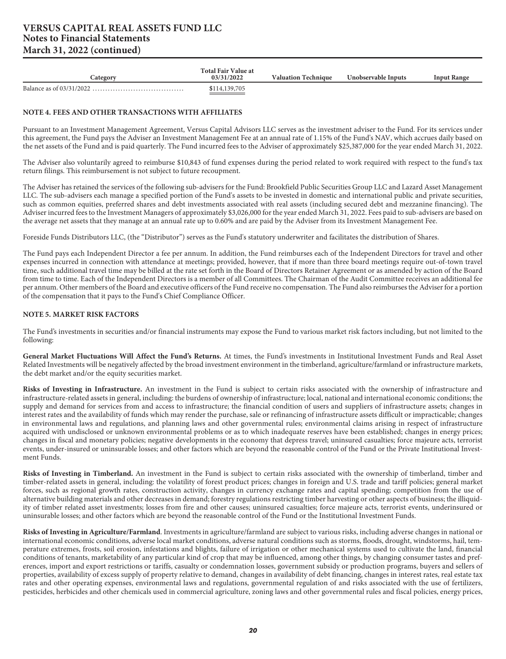| <b>Lategory</b> | <b>Total Fair Value at</b><br>03/31/2022 | <b>Valuation Technique</b> | Unobservable Inputs | Input Range |
|-----------------|------------------------------------------|----------------------------|---------------------|-------------|
|                 | \$114,139,705                            |                            |                     |             |

#### **NOTE 4. FEES AND OTHER TRANSACTIONS WITH AFFILIATES**

Pursuant to an Investment Management Agreement, Versus Capital Advisors LLC serves as the investment adviser to the Fund. For its services under this agreement, the Fund pays the Adviser an Investment Management Fee at an annual rate of 1.15% of the Fund's NAV, which accrues daily based on the net assets of the Fund and is paid quarterly. The Fund incurred fees to the Adviser of approximately \$25,387,000 for the year ended March 31, 2022.

The Adviser also voluntarily agreed to reimburse \$10,843 of fund expenses during the period related to work required with respect to the fund's tax return filings. This reimbursement is not subject to future recoupment.

The Adviser has retained the services of the following sub-advisers for the Fund: Brookfield Public Securities Group LLC and Lazard Asset Management LLC. The sub-advisers each manage a specified portion of the Fund's assets to be invested in domestic and international public and private securities, such as common equities, preferred shares and debt investments associated with real assets (including secured debt and mezzanine financing). The Adviser incurred fees to the Investment Managers of approximately \$3,026,000 for the year ended March 31, 2022. Fees paid to sub-advisers are based on the average net assets that they manage at an annual rate up to 0.60% and are paid by the Adviser from its Investment Management Fee.

Foreside Funds Distributors LLC, (the "Distributor") serves as the Fund's statutory underwriter and facilitates the distribution of Shares.

The Fund pays each Independent Director a fee per annum. In addition, the Fund reimburses each of the Independent Directors for travel and other expenses incurred in connection with attendance at meetings; provided, however, that if more than three board meetings require out-of-town travel time, such additional travel time may be billed at the rate set forth in the Board of Directors Retainer Agreement or as amended by action of the Board from time to time. Each of the Independent Directors is a member of all Committees. The Chairman of the Audit Committee receives an additional fee per annum. Other members of the Board and executive officers of the Fund receive no compensation. The Fund also reimburses the Adviser for a portion of the compensation that it pays to the Fund's Chief Compliance Officer.

#### **NOTE 5. MARKET RISK FACTORS**

The Fund's investments in securities and/or financial instruments may expose the Fund to various market risk factors including, but not limited to the following:

**General Market Fluctuations Will Affect the Fund's Returns.** At times, the Fund's investments in Institutional Investment Funds and Real Asset Related Investments will be negatively affected by the broad investment environment in the timberland, agriculture/farmland or infrastructure markets, the debt market and/or the equity securities market.

**Risks of Investing in Infrastructure.** An investment in the Fund is subject to certain risks associated with the ownership of infrastructure and infrastructure-related assets in general, including: the burdens of ownership of infrastructure; local, national and international economic conditions; the supply and demand for services from and access to infrastructure; the financial condition of users and suppliers of infrastructure assets; changes in interest rates and the availability of funds which may render the purchase, sale or refinancing of infrastructure assets difficult or impracticable; changes in environmental laws and regulations, and planning laws and other governmental rules; environmental claims arising in respect of infrastructure acquired with undisclosed or unknown environmental problems or as to which inadequate reserves have been established; changes in energy prices; changes in fiscal and monetary policies; negative developments in the economy that depress travel; uninsured casualties; force majeure acts, terrorist events, under-insured or uninsurable losses; and other factors which are beyond the reasonable control of the Fund or the Private Institutional Investment Funds.

**Risks of Investing in Timberland.** An investment in the Fund is subject to certain risks associated with the ownership of timberland, timber and timber-related assets in general, including: the volatility of forest product prices; changes in foreign and U.S. trade and tariff policies; general market forces, such as regional growth rates, construction activity, changes in currency exchange rates and capital spending; competition from the use of alternative building materials and other decreases in demand; forestry regulations restricting timber harvesting or other aspects of business; the illiquidity of timber related asset investments; losses from fire and other causes; uninsured casualties; force majeure acts, terrorist events, underinsured or uninsurable losses; and other factors which are beyond the reasonable control of the Fund or the Institutional Investment Funds.

**Risks of Investing in Agriculture/Farmland**. Investments in agriculture/farmland are subject to various risks, including adverse changes in national or international economic conditions, adverse local market conditions, adverse natural conditions such as storms, floods, drought, windstorms, hail, temperature extremes, frosts, soil erosion, infestations and blights, failure of irrigation or other mechanical systems used to cultivate the land, financial conditions of tenants, marketability of any particular kind of crop that may be influenced, among other things, by changing consumer tastes and preferences, import and export restrictions or tariffs, casualty or condemnation losses, government subsidy or production programs, buyers and sellers of properties, availability of excess supply of property relative to demand, changes in availability of debt financing, changes in interest rates, real estate tax rates and other operating expenses, environmental laws and regulations, governmental regulation of and risks associated with the use of fertilizers, pesticides, herbicides and other chemicals used in commercial agriculture, zoning laws and other governmental rules and fiscal policies, energy prices,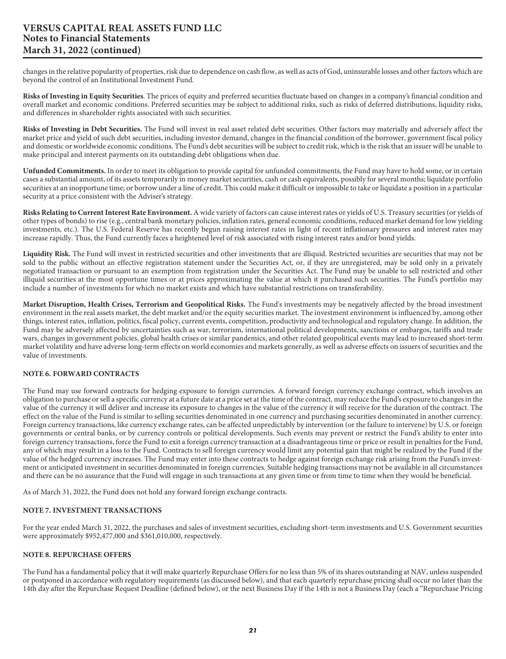changes in the relative popularity of properties, risk due to dependence on cash flow, as well as acts of God, uninsurable losses and other factors which are beyond the control of an Institutional Investment Fund.

**Risks of Investing in Equity Securities**. The prices of equity and preferred securities fluctuate based on changes in a company's financial condition and overall market and economic conditions. Preferred securities may be subject to additional risks, such as risks of deferred distributions, liquidity risks, and differences in shareholder rights associated with such securities.

**Risks of Investing in Debt Securities.** The Fund will invest in real asset related debt securities. Other factors may materially and adversely affect the market price and yield of such debt securities, including investor demand, changes in the financial condition of the borrower, government fiscal policy and domestic or worldwide economic conditions. The Fund's debt securities will be subject to credit risk, which is the risk that an issuer will be unable to make principal and interest payments on its outstanding debt obligations when due.

**Unfunded Commitments.** In order to meet its obligation to provide capital for unfunded commitments, the Fund may have to hold some, or in certain cases a substantial amount, of its assets temporarily in money market securities, cash or cash equivalents, possibly for several months; liquidate portfolio securities at an inopportune time; or borrow under a line of credit. This could make it difficult or impossible to take or liquidate a position in a particular security at a price consistent with the Adviser's strategy.

**Risks Relating to Current Interest Rate Environment.** A wide variety of factors can cause interest rates or yields of U.S. Treasury securities (or yields of other types of bonds) to rise (e.g., central bank monetary policies, inflation rates, general economic conditions, reduced market demand for low yielding investments, etc.). The U.S. Federal Reserve has recently begun raising interest rates in light of recent inflationary pressures and interest rates may increase rapidly. Thus, the Fund currently faces a heightened level of risk associated with rising interest rates and/or bond yields.

**Liquidity Risk.** The Fund will invest in restricted securities and other investments that are illiquid. Restricted securities are securities that may not be sold to the public without an effective registration statement under the Securities Act, or, if they are unregistered, may be sold only in a privately negotiated transaction or pursuant to an exemption from registration under the Securities Act. The Fund may be unable to sell restricted and other illiquid securities at the most opportune times or at prices approximating the value at which it purchased such securities. The Fund's portfolio may include a number of investments for which no market exists and which have substantial restrictions on transferability.

**Market Disruption, Health Crises, Terrorism and Geopolitical Risks.** The Fund's investments may be negatively affected by the broad investment environment in the real assets market, the debt market and/or the equity securities market. The investment environment is influenced by, among other things, interest rates, inflation, politics, fiscal policy, current events, competition, productivity and technological and regulatory change. In addition, the Fund may be adversely affected by uncertainties such as war, terrorism, international political developments, sanctions or embargos, tariffs and trade wars, changes in government policies, global health crises or similar pandemics, and other related geopolitical events may lead to increased short-term market volatility and have adverse long-term effects on world economies and markets generally, as well as adverse effects on issuers of securities and the value of investments.

#### **NOTE 6. FORWARD CONTRACTS**

The Fund may use forward contracts for hedging exposure to foreign currencies. A forward foreign currency exchange contract, which involves an obligation to purchase or sell a specific currency at a future date at a price set at the time of the contract, may reduce the Fund's exposure to changes in the value of the currency it will deliver and increase its exposure to changes in the value of the currency it will receive for the duration of the contract. The effect on the value of the Fund is similar to selling securities denominated in one currency and purchasing securities denominated in another currency. Foreign currency transactions, like currency exchange rates, can be affected unpredictably by intervention (or the failure to intervene) by U.S. or foreign governments or central banks, or by currency controls or political developments. Such events may prevent or restrict the Fund's ability to enter into foreign currency transactions, force the Fund to exit a foreign currency transaction at a disadvantageous time or price or result in penalties for the Fund, any of which may result in a loss to the Fund. Contracts to sell foreign currency would limit any potential gain that might be realized by the Fund if the value of the hedged currency increases. The Fund may enter into these contracts to hedge against foreign exchange risk arising from the Fund's investment or anticipated investment in securities denominated in foreign currencies. Suitable hedging transactions may not be available in all circumstances and there can be no assurance that the Fund will engage in such transactions at any given time or from time to time when they would be beneficial.

As of March 31, 2022, the Fund does not hold any forward foreign exchange contracts.

#### **NOTE 7. INVESTMENT TRANSACTIONS**

For the year ended March 31, 2022, the purchases and sales of investment securities, excluding short-term investments and U.S. Government securities were approximately \$952,477,000 and \$361,010,000, respectively.

#### **NOTE 8. REPURCHASE OFFERS**

The Fund has a fundamental policy that it will make quarterly Repurchase Offers for no less than 5% of its shares outstanding at NAV, unless suspended or postponed in accordance with regulatory requirements (as discussed below), and that each quarterly repurchase pricing shall occur no later than the 14th day after the Repurchase Request Deadline (defined below), or the next Business Day if the 14th is not a Business Day (each a "Repurchase Pricing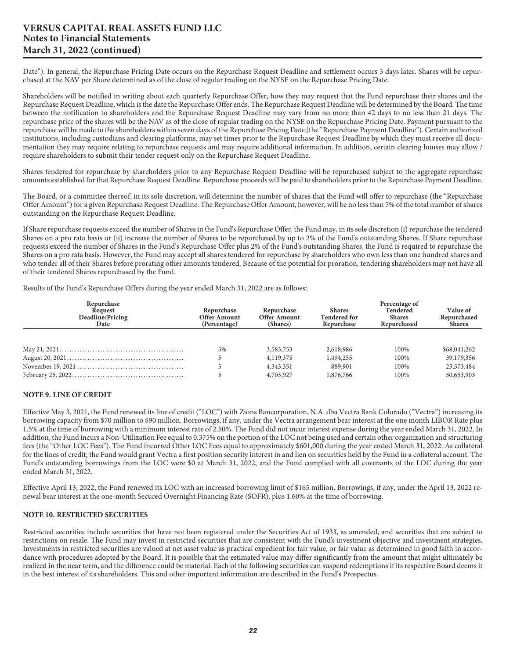Date"). In general, the Repurchase Pricing Date occurs on the Repurchase Request Deadline and settlement occurs 3 days later. Shares will be repurchased at the NAV per Share determined as of the close of regular trading on the NYSE on the Repurchase Pricing Date.

Shareholders will be notified in writing about each quarterly Repurchase Offer, how they may request that the Fund repurchase their shares and the Repurchase Request Deadline, which is the date the Repurchase Offer ends. The Repurchase Request Deadline will be determined by the Board. The time between the notification to shareholders and the Repurchase Request Deadline may vary from no more than 42 days to no less than 21 days. The repurchase price of the shares will be the NAV as of the close of regular trading on the NYSE on the Repurchase Pricing Date. Payment pursuant to the repurchase will be made to the shareholders within seven days of the Repurchase Pricing Date (the "Repurchase Payment Deadline"). Certain authorized institutions, including custodians and clearing platforms, may set times prior to the Repurchase Request Deadline by which they must receive all documentation they may require relating to repurchase requests and may require additional information. In addition, certain clearing houses may allow / require shareholders to submit their tender request only on the Repurchase Request Deadline.

Shares tendered for repurchase by shareholders prior to any Repurchase Request Deadline will be repurchased subject to the aggregate repurchase amounts established for that Repurchase Request Deadline. Repurchase proceeds will be paid to shareholders prior to the Repurchase Payment Deadline.

The Board, or a committee thereof, in its sole discretion, will determine the number of shares that the Fund will offer to repurchase (the "Repurchase Offer Amount") for a given Repurchase Request Deadline. The Repurchase Offer Amount, however, will be no less than 5% of the total number of shares outstanding on the Repurchase Request Deadline.

If Share repurchase requests exceed the number of Shares in the Fund's Repurchase Offer, the Fund may, in its sole discretion (i) repurchase the tendered Shares on a pro rata basis or (ii) increase the number of Shares to be repurchased by up to 2% of the Fund's outstanding Shares. If Share repurchase requests exceed the number of Shares in the Fund's Repurchase Offer plus 2% of the Fund's outstanding Shares, the Fund is required to repurchase the Shares on a pro rata basis. However, the Fund may accept all shares tendered for repurchase by shareholders who own less than one hundred shares and who tender all of their Shares before prorating other amounts tendered. Because of the potential for proration, tendering shareholders may not have all of their tendered Shares repurchased by the Fund.

Results of the Fund's Repurchase Offers during the year ended March 31, 2022 are as follows:

| Repurchase<br>Request<br>Deadline/Pricing<br>Date | Repurchase<br><b>Offer Amount</b><br>(Percentage) | Repurchase<br><b>Offer Amount</b><br>(Shares) | <b>Shares</b><br><b>Tendered for</b><br>Repurchase | Percentage of<br><b>Tendered</b><br><b>Shares</b><br>Repurchased | <b>Value of</b><br>Repurchased<br><b>Shares</b> |
|---------------------------------------------------|---------------------------------------------------|-----------------------------------------------|----------------------------------------------------|------------------------------------------------------------------|-------------------------------------------------|
|                                                   |                                                   |                                               |                                                    |                                                                  |                                                 |
|                                                   | 5%                                                | 3,583,753                                     | 2,618,986                                          | 100%                                                             | \$68,041,262                                    |
|                                                   |                                                   | 4,119,375                                     | 1,494,255                                          | 100%                                                             | 39,179,356                                      |
|                                                   |                                                   | 4,343,351                                     | 889,901                                            | 100%                                                             | 23,573,484                                      |
|                                                   |                                                   | 4,703,927                                     | 1,876,766                                          | 100%                                                             | 50,653,903                                      |
|                                                   |                                                   |                                               |                                                    |                                                                  |                                                 |

#### **NOTE 9. LINE OF CREDIT**

Effective May 3, 2021, the Fund renewed its line of credit ("LOC") with Zions Bancorporation, N.A. dba Vectra Bank Colorado ("Vectra") increasing its borrowing capacity from \$70 million to \$90 million. Borrowings, if any, under the Vectra arrangement bear interest at the one month LIBOR Rate plus 1.5% at the time of borrowing with a minimum interest rate of 2.50%. The Fund did not incur interest expense during the year ended March 31, 2022. In addition, the Fund incurs a Non-Utilization Fee equal to 0.375% on the portion of the LOC not being used and certain other organization and structuring fees (the "Other LOC Fees"). The Fund incurred Other LOC Fees equal to approximately \$601,000 during the year ended March 31, 2022. As collateral for the lines of credit, the Fund would grant Vectra a first position security interest in and lien on securities held by the Fund in a collateral account. The Fund's outstanding borrowings from the LOC were \$0 at March 31, 2022, and the Fund complied with all covenants of the LOC during the year ended March 31, 2022.

Effective April 13, 2022, the Fund renewed its LOC with an increased borrowing limit of \$165 million. Borrowings, if any, under the April 13, 2022 renewal bear interest at the one-month Secured Overnight Financing Rate (SOFR), plus 1.60% at the time of borrowing.

#### **NOTE 10. RESTRICTED SECURITIES**

Restricted securities include securities that have not been registered under the Securities Act of 1933, as amended, and securities that are subject to restrictions on resale. The Fund may invest in restricted securities that are consistent with the Fund's investment objective and investment strategies. Investments in restricted securities are valued at net asset value as practical expedient for fair value, or fair value as determined in good faith in accordance with procedures adopted by the Board. It is possible that the estimated value may differ significantly from the amount that might ultimately be realized in the near term, and the difference could be material. Each of the following securities can suspend redemptions if its respective Board deems it in the best interest of its shareholders. This and other important information are described in the Fund's Prospectus.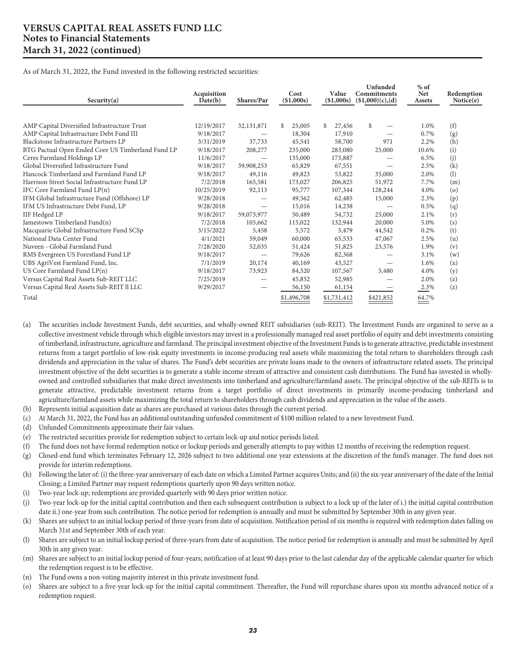As of March 31, 2022, the Fund invested in the following restricted securities:

| Security(a)                                       | Acquisition<br>Date(b) | Shares/Par               | Cost<br>(\$1,000s) | Value<br>(\$1,000s) | Unfunded<br>Commitments<br>(\$1,000)(c),(d) | $%$ of<br><b>Net</b><br>Assets | Redemption<br>Notice(e) |
|---------------------------------------------------|------------------------|--------------------------|--------------------|---------------------|---------------------------------------------|--------------------------------|-------------------------|
|                                                   |                        |                          |                    |                     |                                             |                                |                         |
| AMP Capital Diversified Infrastructure Trust      | 12/19/2017             | 32,131,871               | 25,005<br>\$.      | 27,456<br>\$        | \$                                          | 1.0%                           | (f)                     |
| AMP Capital Infrastructure Debt Fund III          | 9/18/2017              |                          | 18,304             | 17,910              |                                             | 0.7%                           | (g)                     |
| Blackstone Infrastructure Partners LP             | 3/31/2019              | 37,733                   | 45,541             | 58,700              | 971                                         | 2.2%                           | (h)                     |
| BTG Pactual Open Ended Core US Timberland Fund LP | 9/18/2017              | 208,277                  | 235,000            | 283,080             | 25,000                                      | 10.6%                          | (i)                     |
| Ceres Farmland Holdings LP                        | 11/6/2017              |                          | 135,000            | 173,887             |                                             | 6.5%                           | (j)                     |
| Global Diversified Infrastructure Fund            | 9/18/2017              | 39,908,253               | 65,829             | 67,551              |                                             | 2.5%                           | (k)                     |
| Hancock Timberland and Farmland Fund LP           | 9/18/2017              | 49,116                   | 49,823             | 53,822              | 35,000                                      | 2.0%                           | (1)                     |
| Harrison Street Social Infrastructure Fund LP     | 7/2/2018               | 165,581                  | 173,027            | 206,825             | 51,972                                      | 7.7%                           | (m)                     |
| IFC Core Farmland Fund LP(n)                      | 10/25/2019             | 92,113                   | 95,777             | 107,344             | 128,244                                     | 4.0%                           | (o)                     |
| IFM Global Infrastructure Fund (Offshore) LP      | 9/28/2018              |                          | 49,562             | 62,485              | 15,000                                      | 2.3%                           | (p)                     |
| IFM US Infrastructure Debt Fund, LP               | 9/28/2018              | $\overline{\phantom{0}}$ | 15,016             | 14,238              |                                             | 0.5%                           | (q)                     |
| <b>IIF Hedged LP</b>                              | 9/18/2017              | 59,073,977               | 50,489             | 54,732              | 25,000                                      | 2.1%                           | (r)                     |
| Jamestown Timberland Fund(n)                      | 7/2/2018               | 105,662                  | 115,022            | 132,944             | 20,000                                      | 5.0%                           | (s)                     |
| Macquarie Global Infrastructure Fund SCSp         | 3/15/2022              | 5,458                    | 5,572              | 5,479               | 44,542                                      | 0.2%                           | (t)                     |
| National Data Center Fund                         | 4/1/2021               | 59,049                   | 60,000             | 65,533              | 47,067                                      | 2.5%                           | (u)                     |
| Nuveen - Global Farmland Fund                     | 7/28/2020              | 52,035                   | 51,424             | 51,825              | 23,576                                      | 1.9%                           | (v)                     |
| RMS Evergreen US Forestland Fund LP               | 9/18/2017              |                          | 79,626             | 82,368              |                                             | 3.1%                           | (w)                     |
| UBS AgriVest Farmland Fund, Inc.                  | 7/1/2019               | 20,174                   | 40,169             | 43,527              |                                             | 1.6%                           | (x)                     |
| US Core Farmland Fund LP(n)                       | 9/18/2017              | 73,923                   | 84,520             | 107,567             | 5,480                                       | 4.0%                           | (y)                     |
| Versus Capital Real Assets Sub-REIT LLC           | 7/25/2019              | —                        | 45,852             | 52,985              |                                             | 2.0%                           | (z)                     |
| Versus Capital Real Assets Sub-REIT II LLC        | 9/29/2017              |                          | 56,150             | 61,154              |                                             | 2.3%                           | (z)                     |
| Total                                             |                        |                          | \$1,496,708        | \$1,731,412         | \$421,852                                   | 64.7%                          |                         |

- (a) The securities include Investment Funds, debt securities, and wholly-owned REIT subsidiaries (sub-REIT). The Investment Funds are organized to serve as a collective investment vehicle through which eligible investors may invest in a professionally managed real asset portfolio of equity and debt investments consisting of timberland, infrastructure, agriculture and farmland. The principal investment objective of the Investment Funds is to generate attractive, predictable investment returns from a target portfolio of low-risk equity investments in income-producing real assets while maximizing the total return to shareholders through cash dividends and appreciation in the value of shares. The Fund's debt securities are private loans made to the owners of infrastructure related assets. The principal investment objective of the debt securities is to generate a stable income stream of attractive and consistent cash distributions. The Fund has invested in whollyowned and controlled subsidiaries that make direct investments into timberland and agriculture/farmland assets. The principal objective of the sub-REITs is to generate attractive, predictable investment returns from a target portfolio of direct investments in primarily income-producing timberland and agriculture/farmland assets while maximizing the total return to shareholders through cash dividends and appreciation in the value of the assets.
- (b) Represents initial acquisition date as shares are purchased at various dates through the current period.
- (c) At March 31, 2022, the Fund has an additional outstanding unfunded commitment of \$100 million related to a new Investment Fund.
- (d) Unfunded Commitments approximate their fair values.
- (e) The restricted securities provide for redemption subject to certain lock-up and notice periods listed.
- (f) The fund does not have formal redemption notice or lockup periods and generally attempts to pay within 12 months of receiving the redemption request.
- (g) Closed-end fund which terminates February 12, 2026 subject to two additional one year extensions at the discretion of the fund's manager. The fund does not provide for interim redemptions.
- (h) Following the later of: (i) the three-year anniversary of each date on which a Limited Partner acquires Units; and (ii) the six-year anniversary of the date of the Initial Closing; a Limited Partner may request redemptions quarterly upon 90 days written notice.
- (i) Two-year lock-up; redemptions are provided quarterly with 90 days prior written notice.
- (j) Two-year lock-up for the initial capital contribution and then each subsequent contribution is subject to a lock up of the later of i.) the initial capital contribution date ii.) one-year from such contribution. The notice period for redemption is annually and must be submitted by September 30th in any given year.
- (k) Shares are subject to an initial lockup period of three-years from date of acquisition. Notification period of six months is required with redemption dates falling on March 31st and September 30th of each year.
- (l) Shares are subject to an initial lockup period of three-years from date of acquisition. The notice period for redemption is annually and must be submitted by April 30th in any given year.
- (m) Shares are subject to an initial lockup period of four-years; notification of at least 90 days prior to the last calendar day of the applicable calendar quarter for which the redemption request is to be effective.
- (n) The Fund owns a non-voting majority interest in this private investment fund.
- (o) Shares are subject to a five-year lock-up for the initial capital commitment. Thereafter, the Fund will repurchase shares upon six months advanced notice of a redemption request.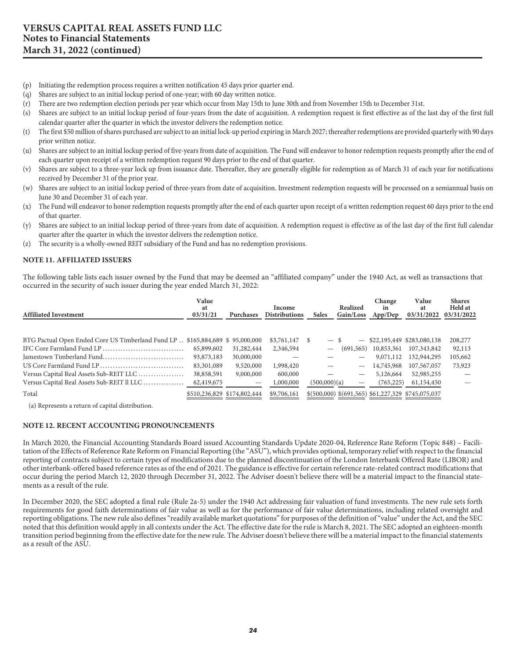- (p) Initiating the redemption process requires a written notification 45 days prior quarter end.
- (q) Shares are subject to an initial lockup period of one-year; with 60 day written notice.
- (r) There are two redemption election periods per year which occur from May 15th to June 30th and from November 15th to December 31st.
- (s) Shares are subject to an initial lockup period of four-years from the date of acquisition. A redemption request is first effective as of the last day of the first full calendar quarter after the quarter in which the investor delivers the redemption notice.
- (t) The first \$50 million of shares purchased are subject to an initial lock-up period expiring in March 2027; thereafter redemptions are provided quarterly with 90 days prior written notice.
- (u) Shares are subject to an initial lockup period of five-years from date of acquisition. The Fund will endeavor to honor redemption requests promptly after the end of each quarter upon receipt of a written redemption request 90 days prior to the end of that quarter.
- (v) Shares are subject to a three-year lock up from issuance date. Thereafter, they are generally eligible for redemption as of March 31 of each year for notifications received by December 31 of the prior year.
- (w) Shares are subject to an initial lockup period of three-years from date of acquisition. Investment redemption requests will be processed on a semiannual basis on June 30 and December 31 of each year.
- (x) The Fund will endeavor to honor redemption requests promptly after the end of each quarter upon receipt of a written redemption request 60 days prior to the end of that quarter.
- (y) Shares are subject to an initial lockup period of three-years from date of acquisition. A redemption request is effective as of the last day of the first full calendar quarter after the quarter in which the investor delivers the redemption notice.
- (z) The security is a wholly-owned REIT subsidiary of the Fund and has no redemption provisions.

#### **NOTE 11. AFFILIATED ISSUERS**

The following table lists each issuer owned by the Fund that may be deemed an "affiliated company" under the 1940 Act, as well as transactions that occurred in the security of such issuer during the year ended March 31, 2022:

| <b>Affiliated Investment</b>                                                   | Value<br>at<br>03/31/21 | <b>Purchases</b>            | Income<br><b>Distributions</b> | <b>Sales</b>                    | Realized<br>Gain/Loss | Change<br>in<br>App/Dep | Value<br>at<br>03/31/2022                        | <b>Shares</b><br><b>Held</b> at<br>03/31/2022 |
|--------------------------------------------------------------------------------|-------------------------|-----------------------------|--------------------------------|---------------------------------|-----------------------|-------------------------|--------------------------------------------------|-----------------------------------------------|
| BTG Pactual Open Ended Core US Timberland Fund LP . \$165,884,689 \$95,000,000 |                         |                             | \$3,761,147                    | \$.<br>$\overline{\phantom{0}}$ |                       |                         | $-$ \$22,195,449 \$283,080,138                   | 208,277                                       |
|                                                                                | 65,899,602              | 31,282,444                  | 2,346,594                      |                                 | (691, 565)            | 10,853,361              | 107,343,842                                      | 92,113                                        |
| Jamestown Timberland Fund                                                      | 93,873,183              | 30,000,000                  |                                |                                 |                       | 9,071,112               | 132,944,295                                      | 105,662                                       |
|                                                                                | 83,301,089              | 9,520,000                   | 1,998,420                      |                                 |                       | 14,745,968              | 107,567,057                                      | 73,923                                        |
| Versus Capital Real Assets Sub-REIT LLC                                        | 38,858,591              | 9,000,000                   | 600,000                        |                                 |                       | 5,126,664               | 52,985,255                                       |                                               |
| Versus Capital Real Assets Sub-REIT II LLC                                     | 62,419,675              |                             | 1,000,000                      | (500,000)(a)                    |                       | (765, 225)              | 61,154,450                                       |                                               |
| Total                                                                          |                         | \$510,236,829 \$174,802,444 | \$9,706,161                    |                                 |                       |                         | $$(500,000) $(691,565) $61,227,329 $745,075,037$ |                                               |

(a) Represents a return of capital distribution.

#### **NOTE 12. RECENT ACCOUNTING PRONOUNCEMENTS**

In March 2020, the Financial Accounting Standards Board issued Accounting Standards Update 2020-04, Reference Rate Reform (Topic 848) – Facilitation of the Effects of Reference Rate Reform on Financial Reporting (the "ASU"), which provides optional, temporary relief with respect to the financial reporting of contracts subject to certain types of modifications due to the planned discontinuation of the London Interbank Offered Rate (LIBOR) and other interbank-offered based reference rates as of the end of 2021. The guidance is effective for certain reference rate-related contract modifications that occur during the period March 12, 2020 through December 31, 2022. The Adviser doesn't believe there will be a material impact to the financial statements as a result of the rule.

In December 2020, the SEC adopted a final rule (Rule 2a-5) under the 1940 Act addressing fair valuation of fund investments. The new rule sets forth requirements for good faith determinations of fair value as well as for the performance of fair value determinations, including related oversight and reporting obligations. The new rule also defines "readily available market quotations" for purposes of the definition of "value" under the Act, and the SEC noted that this definition would apply in all contexts under the Act. The effective date for the rule is March 8, 2021. The SEC adopted an eighteen-month transition period beginning from the effective date for the new rule. The Adviser doesn't believe there will be a material impact to the financial statements as a result of the ASU.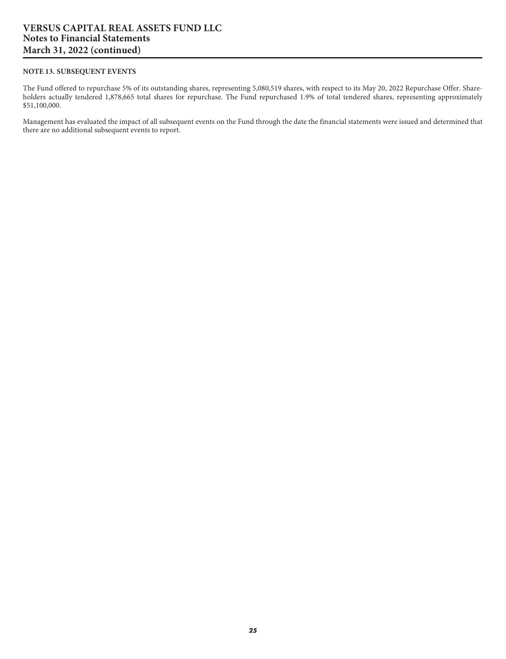#### **NOTE 13. SUBSEQUENT EVENTS**

The Fund offered to repurchase 5% of its outstanding shares, representing 5,080,519 shares, with respect to its May 20, 2022 Repurchase Offer. Shareholders actually tendered 1,878,665 total shares for repurchase. The Fund repurchased 1.9% of total tendered shares, representing approximately \$51,100,000.

Management has evaluated the impact of all subsequent events on the Fund through the date the financial statements were issued and determined that there are no additional subsequent events to report.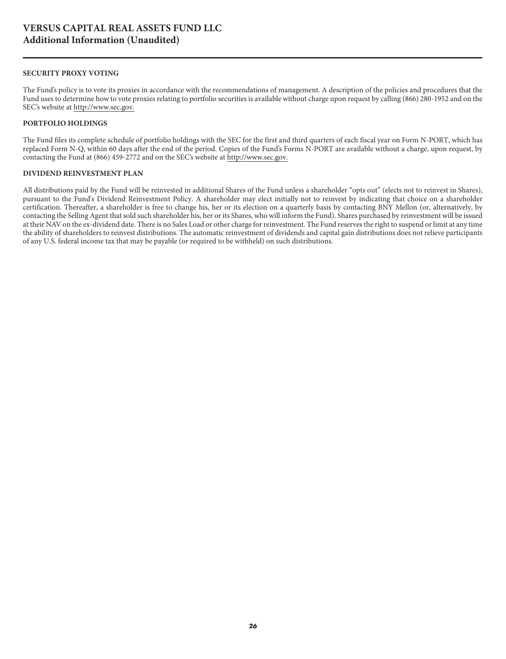#### <span id="page-26-0"></span>**SECURITY PROXY VOTING**

The Fund's policy is to vote its proxies in accordance with the recommendations of management. A description of the policies and procedures that the Fund uses to determine how to vote proxies relating to portfolio securities is available without charge upon request by calling (866) 280-1952 and on the SEC's website at<http://www.sec.gov.>

#### **PORTFOLIO HOLDINGS**

The Fund files its complete schedule of portfolio holdings with the SEC for the first and third quarters of each fiscal year on Form N-PORT, which has replaced Form N-Q, within 60 days after the end of the period. Copies of the Fund's Forms N-PORT are available without a charge, upon request, by contacting the Fund at (866) 459-2772 and on the SEC's website at http://www.sec.gov.

#### **DIVIDEND REINVESTMENT PLAN**

All distributions paid by the Fund will be reinvested in additional Shares of the Fund unless a shareholder "opts out" (elects not to reinvest in Shares), pursuant to the Fund's Dividend Reinvestment Policy. A shareholder may elect initially not to reinvest by indicating that choice on a shareholder certification. Thereafter, a shareholder is free to change his, her or its election on a quarterly basis by contacting BNY Mellon (or, alternatively, by contacting the Selling Agent that sold such shareholder his, her or its Shares, who will inform the Fund). Shares purchased by reinvestment will be issued at their NAV on the ex-dividend date. There is no Sales Load or other charge for reinvestment. The Fund reserves the right to suspend or limit at any time the ability of shareholders to reinvest distributions. The automatic reinvestment of dividends and capital gain distributions does not relieve participants of any U.S. federal income tax that may be payable (or required to be withheld) on such distributions.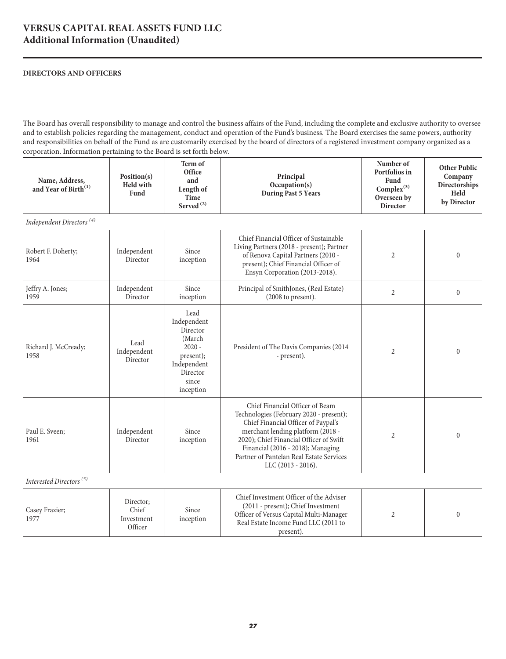### **VERSUS CAPITAL REAL ASSETS FUND LLC Additional Information (Unaudited)**

#### **DIRECTORS AND OFFICERS**

The Board has overall responsibility to manage and control the business affairs of the Fund, including the complete and exclusive authority to oversee and to establish policies regarding the management, conduct and operation of the Fund's business. The Board exercises the same powers, authority and responsibilities on behalf of the Fund as are customarily exercised by the board of directors of a registered investment company organized as a corporation. Information pertaining to the Board is set forth below.

| Name, Address,<br>and Year of Birth <sup>(1)</sup> | Position(s)<br><b>Held with</b><br><b>Fund</b> | Term of<br>Office<br>and<br>Length of<br><b>Time</b><br>Served <sup>(2)</sup>                                       | Principal<br>Occupation(s)<br><b>During Past 5 Years</b>                                                                                                                                                                                                                                                 | Number of<br>Portfolios in<br>Fund<br>Complex $^{(3)}$<br>Overseen by<br><b>Director</b> | <b>Other Public</b><br>Company<br>Directorships<br>Held<br>by Director |
|----------------------------------------------------|------------------------------------------------|---------------------------------------------------------------------------------------------------------------------|----------------------------------------------------------------------------------------------------------------------------------------------------------------------------------------------------------------------------------------------------------------------------------------------------------|------------------------------------------------------------------------------------------|------------------------------------------------------------------------|
| Independent Directors <sup>(4)</sup>               |                                                |                                                                                                                     |                                                                                                                                                                                                                                                                                                          |                                                                                          |                                                                        |
| Robert F. Doherty;<br>1964                         | Independent<br>Director                        | Since<br>inception                                                                                                  | Chief Financial Officer of Sustainable<br>Living Partners (2018 - present); Partner<br>of Renova Capital Partners (2010 -<br>present); Chief Financial Officer of<br>Ensyn Corporation (2013-2018).                                                                                                      | $\overline{2}$                                                                           | $\theta$                                                               |
| Jeffry A. Jones;<br>1959                           | Independent<br>Director                        | Since<br>inception                                                                                                  | Principal of SmithJones, (Real Estate)<br>$(2008$ to present).                                                                                                                                                                                                                                           | $\overline{2}$                                                                           | $\boldsymbol{0}$                                                       |
| Richard J. McCready;<br>1958                       | Lead<br>Independent<br>Director                | Lead<br>Independent<br>Director<br>(March<br>$2020 -$<br>present);<br>Independent<br>Director<br>since<br>inception | President of The Davis Companies (2014<br>- present).                                                                                                                                                                                                                                                    | $\overline{2}$                                                                           | $\theta$                                                               |
| Paul E. Sveen;<br>1961                             | Independent<br>Director                        | Since<br>inception                                                                                                  | Chief Financial Officer of Beam<br>Technologies (February 2020 - present);<br>Chief Financial Officer of Paypal's<br>merchant lending platform (2018 -<br>2020); Chief Financial Officer of Swift<br>Financial (2016 - 2018); Managing<br>Partner of Pantelan Real Estate Services<br>LLC (2013 - 2016). | $\overline{2}$                                                                           | $\mathbf{0}$                                                           |
| Interested Directors <sup>(5)</sup>                |                                                |                                                                                                                     |                                                                                                                                                                                                                                                                                                          |                                                                                          |                                                                        |
| Casey Frazier;<br>1977                             | Director;<br>Chief<br>Investment<br>Officer    | Since<br>inception                                                                                                  | Chief Investment Officer of the Adviser<br>(2011 - present); Chief Investment<br>Officer of Versus Capital Multi-Manager<br>Real Estate Income Fund LLC (2011 to<br>present).                                                                                                                            | $\overline{2}$                                                                           | $\theta$                                                               |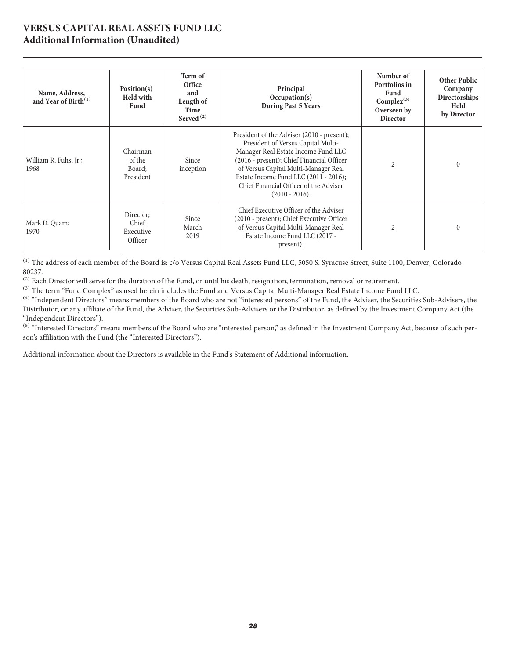#### **VERSUS CAPITAL REAL ASSETS FUND LLC Additional Information (Unaudited)**

| Name, Address,<br>and Year of Birth <sup>(1)</sup> | Position(s)<br><b>Held with</b><br>Fund    | Term of<br>Office<br>and<br>Length of<br>Time<br>Served <sup>(2)</sup> | Principal<br>Occupation(s)<br><b>During Past 5 Years</b>                                                                                                                                                                                                                                                            | Number of<br>Portfolios in<br><b>Fund</b><br>Complex $^{(3)}$<br>Overseen by<br><b>Director</b> | <b>Other Public</b><br>Company<br>Directorships<br>Held<br>by Director |
|----------------------------------------------------|--------------------------------------------|------------------------------------------------------------------------|---------------------------------------------------------------------------------------------------------------------------------------------------------------------------------------------------------------------------------------------------------------------------------------------------------------------|-------------------------------------------------------------------------------------------------|------------------------------------------------------------------------|
| William R. Fuhs, Jr.;<br>1968                      | Chairman<br>of the<br>Board:<br>President  | Since<br>inception                                                     | President of the Adviser (2010 - present);<br>President of Versus Capital Multi-<br>Manager Real Estate Income Fund LLC<br>(2016 - present); Chief Financial Officer<br>of Versus Capital Multi-Manager Real<br>Estate Income Fund LLC (2011 - 2016);<br>Chief Financial Officer of the Adviser<br>$(2010 - 2016).$ | $\overline{2}$                                                                                  |                                                                        |
| Mark D. Quam;<br>1970                              | Director:<br>Chief<br>Executive<br>Officer | Since<br>March<br>2019                                                 | Chief Executive Officer of the Adviser<br>(2010 - present); Chief Executive Officer<br>of Versus Capital Multi-Manager Real<br>Estate Income Fund LLC (2017 -<br>present).                                                                                                                                          | 2                                                                                               | $\Omega$                                                               |

<sup>(1)</sup> The address of each member of the Board is: c/o Versus Capital Real Assets Fund LLC, 5050 S. Syracuse Street, Suite 1100, Denver, Colorado 80237.

<sup>(2)</sup> Each Director will serve for the duration of the Fund, or until his death, resignation, termination, removal or retirement.

<sup>(3)</sup> The term "Fund Complex" as used herein includes the Fund and Versus Capital Multi-Manager Real Estate Income Fund LLC.

<sup>(4)</sup> "Independent Directors" means members of the Board who are not "interested persons" of the Fund, the Adviser, the Securities Sub-Advisers, the Distributor, or any affiliate of the Fund, the Adviser, the Securities Sub-Advisers or the Distributor, as defined by the Investment Company Act (the "Independent Directors").

<sup>(5)</sup> "Interested Directors" means members of the Board who are "interested person," as defined in the Investment Company Act, because of such person's affiliation with the Fund (the "Interested Directors").

Additional information about the Directors is available in the Fund's Statement of Additional information.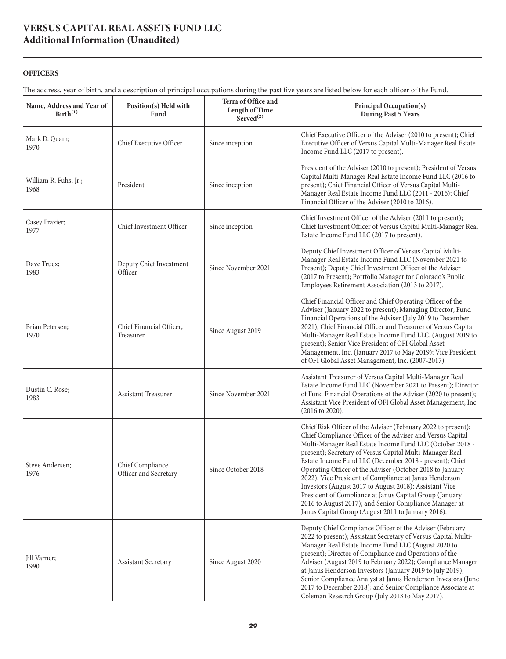## **VERSUS CAPITAL REAL ASSETS FUND LLC Additional Information (Unaudited)**

#### **OFFICERS**

The address, year of birth, and a description of principal occupations during the past five years are listed below for each officer of the Fund.

| Name, Address and Year of<br>Birth <sup>(1)</sup> | Position(s) Held with<br>Fund             | Term of Office and<br><b>Length of Time</b><br>Served $^{(2)}$ | Principal Occupation(s)<br><b>During Past 5 Years</b>                                                                                                                                                                                                                                                                                                                                                                                                                                                                                                                                                                                                                       |
|---------------------------------------------------|-------------------------------------------|----------------------------------------------------------------|-----------------------------------------------------------------------------------------------------------------------------------------------------------------------------------------------------------------------------------------------------------------------------------------------------------------------------------------------------------------------------------------------------------------------------------------------------------------------------------------------------------------------------------------------------------------------------------------------------------------------------------------------------------------------------|
| Mark D. Quam;<br>1970                             | Chief Executive Officer                   | Since inception                                                | Chief Executive Officer of the Adviser (2010 to present); Chief<br>Executive Officer of Versus Capital Multi-Manager Real Estate<br>Income Fund LLC (2017 to present).                                                                                                                                                                                                                                                                                                                                                                                                                                                                                                      |
| William R. Fuhs, Jr.;<br>1968                     | President                                 | Since inception                                                | President of the Adviser (2010 to present); President of Versus<br>Capital Multi-Manager Real Estate Income Fund LLC (2016 to<br>present); Chief Financial Officer of Versus Capital Multi-<br>Manager Real Estate Income Fund LLC (2011 - 2016); Chief<br>Financial Officer of the Adviser (2010 to 2016).                                                                                                                                                                                                                                                                                                                                                                 |
| Casey Frazier;<br>1977                            | Chief Investment Officer                  | Since inception                                                | Chief Investment Officer of the Adviser (2011 to present);<br>Chief Investment Officer of Versus Capital Multi-Manager Real<br>Estate Income Fund LLC (2017 to present).                                                                                                                                                                                                                                                                                                                                                                                                                                                                                                    |
| Dave Truex;<br>1983                               | Deputy Chief Investment<br>Officer        | Since November 2021                                            | Deputy Chief Investment Officer of Versus Capital Multi-<br>Manager Real Estate Income Fund LLC (November 2021 to<br>Present); Deputy Chief Investment Officer of the Adviser<br>(2017 to Present); Portfolio Manager for Colorado's Public<br>Employees Retirement Association (2013 to 2017).                                                                                                                                                                                                                                                                                                                                                                             |
| Brian Petersen;<br>1970                           | Chief Financial Officer,<br>Treasurer     | Since August 2019                                              | Chief Financial Officer and Chief Operating Officer of the<br>Adviser (January 2022 to present); Managing Director, Fund<br>Financial Operations of the Adviser (July 2019 to December<br>2021); Chief Financial Officer and Treasurer of Versus Capital<br>Multi-Manager Real Estate Income Fund LLC, (August 2019 to<br>present); Senior Vice President of OFI Global Asset<br>Management, Inc. (January 2017 to May 2019); Vice President<br>of OFI Global Asset Management, Inc. (2007-2017).                                                                                                                                                                           |
| Dustin C. Rose;<br>1983                           | Assistant Treasurer                       | Since November 2021                                            | Assistant Treasurer of Versus Capital Multi-Manager Real<br>Estate Income Fund LLC (November 2021 to Present); Director<br>of Fund Financial Operations of the Adviser (2020 to present);<br>Assistant Vice President of OFI Global Asset Management, Inc.<br>$(2016 \text{ to } 2020).$                                                                                                                                                                                                                                                                                                                                                                                    |
| Steve Andersen;<br>1976                           | Chief Compliance<br>Officer and Secretary | Since October 2018                                             | Chief Risk Officer of the Adviser (February 2022 to present);<br>Chief Compliance Officer of the Adviser and Versus Capital<br>Multi-Manager Real Estate Income Fund LLC (October 2018 -<br>present); Secretary of Versus Capital Multi-Manager Real<br>Estate Income Fund LLC (December 2018 - present); Chief<br>Operating Officer of the Adviser (October 2018 to January<br>2022); Vice President of Compliance at Janus Henderson<br>Investors (August 2017 to August 2018); Assistant Vice<br>President of Compliance at Janus Capital Group (January<br>2016 to August 2017); and Senior Compliance Manager at<br>Janus Capital Group (August 2011 to January 2016). |
| Jill Varner;<br>1990                              | <b>Assistant Secretary</b>                | Since August 2020                                              | Deputy Chief Compliance Officer of the Adviser (February<br>2022 to present); Assistant Secretary of Versus Capital Multi-<br>Manager Real Estate Income Fund LLC (August 2020 to<br>present); Director of Compliance and Operations of the<br>Adviser (August 2019 to February 2022); Compliance Manager<br>at Janus Henderson Investors (January 2019 to July 2019);<br>Senior Compliance Analyst at Janus Henderson Investors (June<br>2017 to December 2018); and Senior Compliance Associate at<br>Coleman Research Group (July 2013 to May 2017).                                                                                                                     |